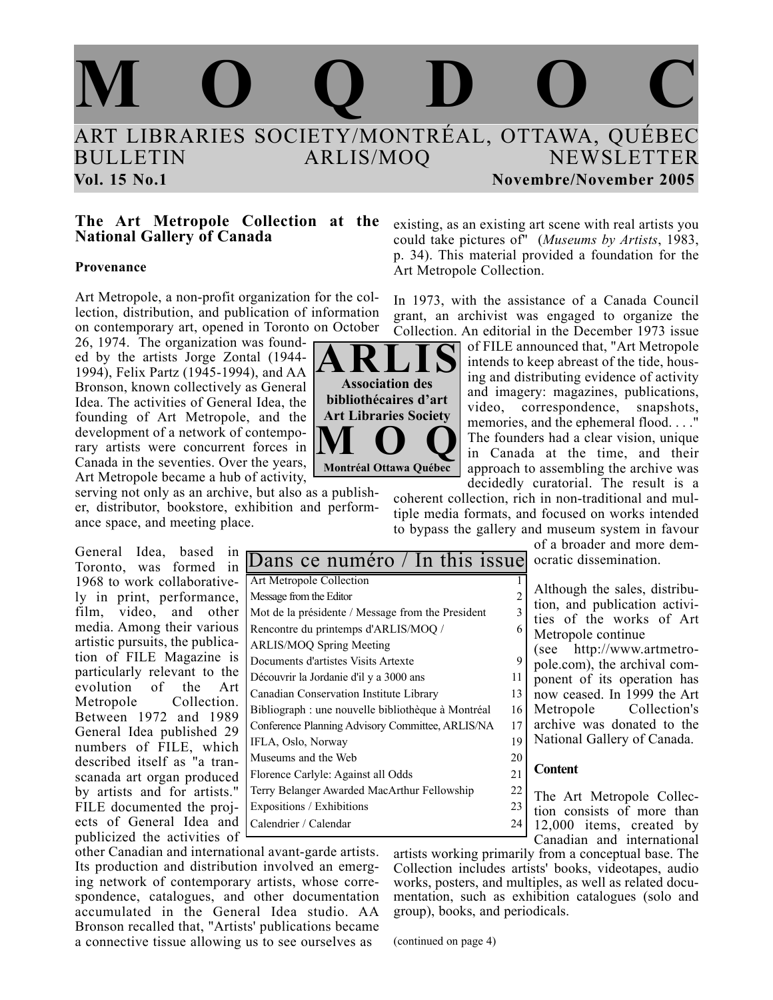

**ARLIS Association des bibliothécaires d'art Art Libraries Society**

**MOQ Montréal Ottawa Québec**

### **The Art Metropole Collection at the National Gallery of Canada**

### **Provenance**

Art Metropole, a non-profit organization for the collection, distribution, and publication of information on contemporary art, opened in Toronto on October

26, 1974. The organization was founded by the artists Jorge Zontal (1944- 1994), Felix Partz (1945-1994), and AA Bronson, known collectively as General Idea. The activities of General Idea, the founding of Art Metropole, and the development of a network of contemporary artists were concurrent forces in Canada in the seventies. Over the years, Art Metropole became a hub of activity,

serving not only as an archive, but also as a publisher, distributor, bookstore, exhibition and performance space, and meeting place.

General Idea, based in Toronto, was formed in 1968 to work collaboratively in print, performance, film, video, and other media. Among their various artistic pursuits, the publication of FILE Magazine is particularly relevant to the evolution of the Art Metropole Collection. Between 1972 and 1989 General Idea published 29 numbers of FILE, which described itself as "a transcanada art organ produced by artists and for artists." FILE documented the projects of General Idea and publicized the activities of <sup>1</sup>

| Dans ce numéro / In this issue                     |    |
|----------------------------------------------------|----|
| Art Metropole Collection                           |    |
| Message from the Editor                            | 2  |
| Mot de la présidente / Message from the President  | 3  |
| Rencontre du printemps d'ARLIS/MOQ /               | 6  |
| <b>ARLIS/MOQ Spring Meeting</b>                    |    |
| Documents d'artistes Visits Artexte                | 9  |
| Découvrir la Jordanie d'il y a 3000 ans            | 11 |
| Canadian Conservation Institute Library            | 13 |
| Bibliograph : une nouvelle bibliothèque à Montréal | 16 |
| Conference Planning Advisory Committee, ARLIS/NA   | 17 |
| IFLA, Oslo, Norway                                 | 19 |
| Museums and the Web                                | 20 |
| Florence Carlyle: Against all Odds                 | 21 |
| Terry Belanger Awarded MacArthur Fellowship        | 22 |
| Expositions / Exhibitions                          | 23 |
| Calendrier / Calendar                              | 24 |

existing, as an existing art scene with real artists you could take pictures of" (*Museums by Artists*, 1983, p. 34). This material provided a foundation for the Art Metropole Collection.

In 1973, with the assistance of a Canada Council grant, an archivist was engaged to organize the Collection. An editorial in the December 1973 issue

> of FILE announced that, "Art Metropole intends to keep abreast of the tide, housing and distributing evidence of activity and imagery: magazines, publications, video, correspondence, snapshots, memories, and the ephemeral flood...." The founders had a clear vision, unique in Canada at the time, and their approach to assembling the archive was decidedly curatorial. The result is a

coherent collection, rich in non-traditional and multiple media formats, and focused on works intended to bypass the gallery and museum system in favour

> of a broader and more democratic dissemination.

> Although the sales, distribution, and publication activities of the works of Art Metropole continue

(see http://www.artmetropole.com), the archival component of its operation has now ceased. In 1999 the Art Metropole Collection's archive was donated to the National Gallery of Canada.

### **Content**

The Art Metropole Collection consists of more than 12,000 items, created by Canadian and international

other Canadian and international avant-garde artists. Its production and distribution involved an emerging network of contemporary artists, whose correspondence, catalogues, and other documentation accumulated in the General Idea studio. AA Bronson recalled that, "Artists' publications became a connective tissue allowing us to see ourselves as

artists working primarily from a conceptual base. The Collection includes artists' books, videotapes, audio works, posters, and multiples, as well as related documentation, such as exhibition catalogues (solo and group), books, and periodicals.

(continued on page 4)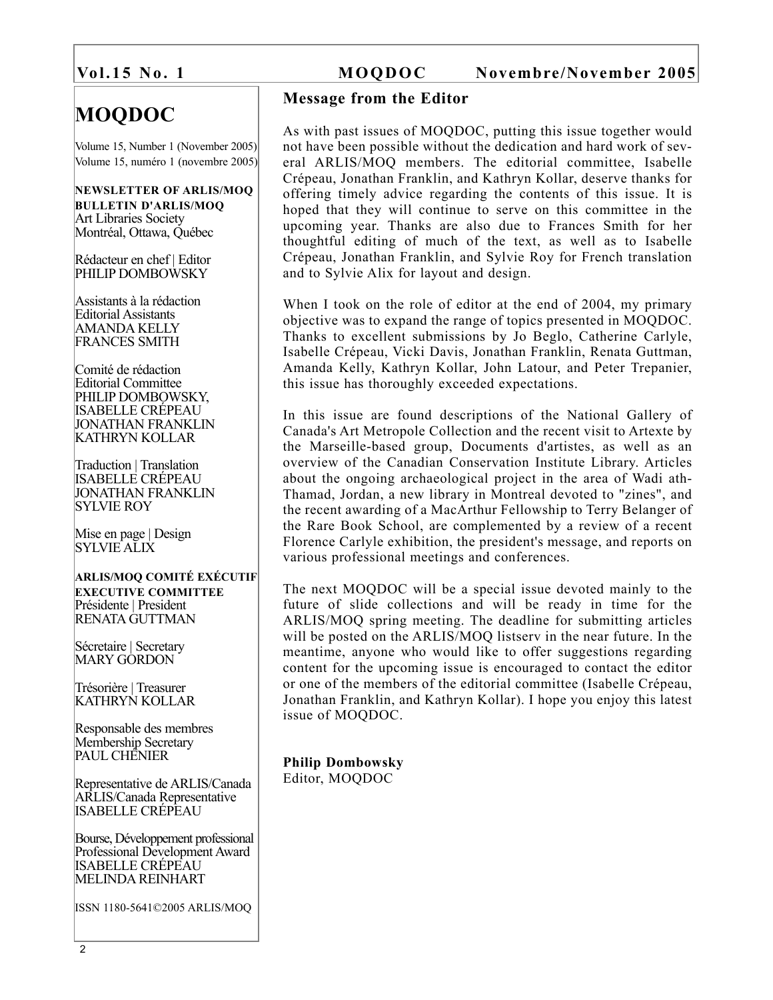# **MOQDOC**

Volume 15, Number 1 (November 2005) Volume 15, numéro 1 (novembre 2005)

### **NEWSLETTER OF ARLIS/MOQ BULLETIN D'ARLIS/MOQ** Art Libraries Society Montréal, Ottawa, Québec

Rédacteur en chef | Editor PHILIP DOMBOWSKY

Assistants à la rédaction Editorial Assistants AMANDA KELLY FRANCES SMITH

Comité de rédaction Editorial Committee PHILIP DOMBOWSKY, ISABELLE CRÉPEAU JONATHAN FRANKLIN KATHRYN KOLLAR

Traduction | Translation ISABELLE CRÉPEAU JONATHAN FRANKLIN SYLVIE ROY

Mise en page | Design SYLVIE ALIX

### **ARLIS/MOQ COMITÉ EXÉCUTIF EXECUTIVE COMMITTEE** Présidente | President RENATA GUTTMAN

Sécretaire | Secretary MARY GORDON

Trésorière | Treasurer KATHRYN KOLLAR

Responsable des membres Membership Secretary PAUL CHÉNIER

Representative de ARLIS/Canada ARLIS/Canada Representative ISABELLE CRÉPEAU

Bourse, Développement professional Professional Development Award ISABELLE CRÉPEAU MELINDA REINHART

ISSN 1180-5641©2005 ARLIS/MOQ

# **Vol.15 No. 1 MOQDOC Novembre/November 2005**

# **Message from the Editor**

As with past issues of MOQDOC, putting this issue together would not have been possible without the dedication and hard work of several ARLIS/MOQ members. The editorial committee, Isabelle Crépeau, Jonathan Franklin, and Kathryn Kollar, deserve thanks for offering timely advice regarding the contents of this issue. It is hoped that they will continue to serve on this committee in the upcoming year. Thanks are also due to Frances Smith for her thoughtful editing of much of the text, as well as to Isabelle Crépeau, Jonathan Franklin, and Sylvie Roy for French translation and to Sylvie Alix for layout and design.

When I took on the role of editor at the end of 2004, my primary objective was to expand the range of topics presented in MOQDOC. Thanks to excellent submissions by Jo Beglo, Catherine Carlyle, Isabelle Crépeau, Vicki Davis, Jonathan Franklin, Renata Guttman, Amanda Kelly, Kathryn Kollar, John Latour, and Peter Trepanier, this issue has thoroughly exceeded expectations.

In this issue are found descriptions of the National Gallery of Canada's Art Metropole Collection and the recent visit to Artexte by the Marseille-based group, Documents d'artistes, as well as an overview of the Canadian Conservation Institute Library. Articles about the ongoing archaeological project in the area of Wadi ath-Thamad, Jordan, a new library in Montreal devoted to "zines", and the recent awarding of a MacArthur Fellowship to Terry Belanger of the Rare Book School, are complemented by a review of a recent Florence Carlyle exhibition, the president's message, and reports on various professional meetings and conferences.

The next MOQDOC will be a special issue devoted mainly to the future of slide collections and will be ready in time for the ARLIS/MOQ spring meeting. The deadline for submitting articles will be posted on the ARLIS/MOQ listserv in the near future. In the meantime, anyone who would like to offer suggestions regarding content for the upcoming issue is encouraged to contact the editor or one of the members of the editorial committee (Isabelle Crépeau, Jonathan Franklin, and Kathryn Kollar). I hope you enjoy this latest issue of MOQDOC.

**Philip Dombowsky** Editor, MOQDOC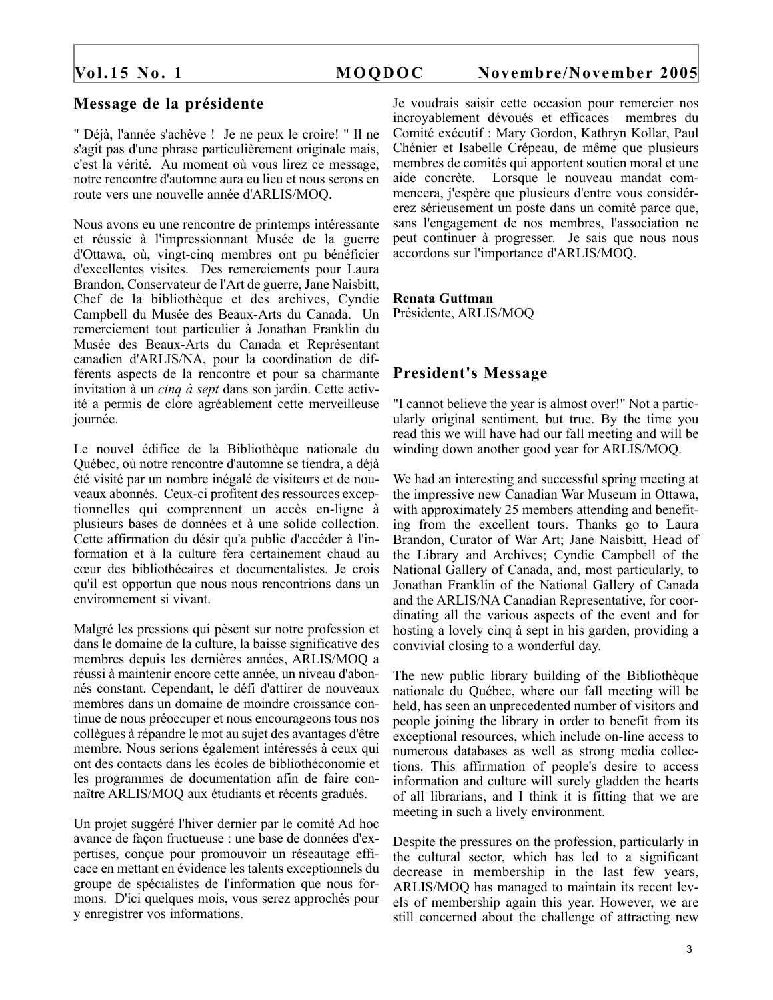# **Message de la présidente**

" Déjà, l'année s'achève ! Je ne peux le croire! " Il ne s'agit pas d'une phrase particulièrement originale mais, c'est la vérité. Au moment où vous lirez ce message, notre rencontre d'automne aura eu lieu et nous serons en route vers une nouvelle année d'ARLIS/MOQ.

Nous avons eu une rencontre de printemps intéressante et réussie à l'impressionnant Musée de la guerre d'Ottawa, où, vingt-cinq membres ont pu bénéficier d'excellentes visites. Des remerciements pour Laura Brandon, Conservateur de l'Art de guerre, Jane Naisbitt, Chef de la bibliothèque et des archives, Cyndie Campbell du Musée des Beaux-Arts du Canada. Un remerciement tout particulier à Jonathan Franklin du Musée des Beaux-Arts du Canada et Représentant canadien d'ARLIS/NA, pour la coordination de différents aspects de la rencontre et pour sa charmante invitation à un *cinq à sept* dans son jardin. Cette activité a permis de clore agréablement cette merveilleuse journée.

Le nouvel édifice de la Bibliothèque nationale du Québec, où notre rencontre d'automne se tiendra, a déjà été visité par un nombre inégalé de visiteurs et de nouveaux abonnés. Ceux-ci profitent des ressources exceptionnelles qui comprennent un accès en-ligne à plusieurs bases de données et à une solide collection. Cette affirmation du désir qu'a public d'accéder à l'information et à la culture fera certainement chaud au cœur des bibliothécaires et documentalistes. Je crois qu'il est opportun que nous nous rencontrions dans un environnement si vivant.

Malgré les pressions qui pèsent sur notre profession et dans le domaine de la culture, la baisse significative des membres depuis les dernières années, ARLIS/MOQ a réussi à maintenir encore cette année, un niveau d'abonnés constant. Cependant, le défi d'attirer de nouveaux membres dans un domaine de moindre croissance continue de nous préoccuper et nous encourageons tous nos collègues à répandre le mot au sujet des avantages d'être membre. Nous serions également intéressés à ceux qui ont des contacts dans les écoles de bibliothéconomie et les programmes de documentation afin de faire connaître ARLIS/MOQ aux étudiants et récents gradués.

Un projet suggéré l'hiver dernier par le comité Ad hoc avance de façon fructueuse : une base de données d'expertises, conçue pour promouvoir un réseautage efficace en mettant en évidence les talents exceptionnels du groupe de spécialistes de l'information que nous formons. D'ici quelques mois, vous serez approchés pour y enregistrer vos informations.

Je voudrais saisir cette occasion pour remercier nos incroyablement dévoués et efficaces membres du Comité exécutif : Mary Gordon, Kathryn Kollar, Paul Chénier et Isabelle Crépeau, de même que plusieurs membres de comités qui apportent soutien moral et une aide concrète. Lorsque le nouveau mandat commencera, j'espère que plusieurs d'entre vous considérerez sérieusement un poste dans un comité parce que, sans l'engagement de nos membres, l'association ne peut continuer à progresser. Je sais que nous nous accordons sur l'importance d'ARLIS/MOQ.

# **Renata Guttman**

Présidente, ARLIS/MOQ

# **President's Message**

"I cannot believe the year is almost over!" Not a particularly original sentiment, but true. By the time you read this we will have had our fall meeting and will be winding down another good year for ARLIS/MOQ.

We had an interesting and successful spring meeting at the impressive new Canadian War Museum in Ottawa, with approximately 25 members attending and benefiting from the excellent tours. Thanks go to Laura Brandon, Curator of War Art; Jane Naisbitt, Head of the Library and Archives; Cyndie Campbell of the National Gallery of Canada, and, most particularly, to Jonathan Franklin of the National Gallery of Canada and the ARLIS/NA Canadian Representative, for coordinating all the various aspects of the event and for hosting a lovely cinq à sept in his garden, providing a convivial closing to a wonderful day.

The new public library building of the Bibliothèque nationale du Québec, where our fall meeting will be held, has seen an unprecedented number of visitors and people joining the library in order to benefit from its exceptional resources, which include on-line access to numerous databases as well as strong media collections. This affirmation of people's desire to access information and culture will surely gladden the hearts of all librarians, and I think it is fitting that we are meeting in such a lively environment.

Despite the pressures on the profession, particularly in the cultural sector, which has led to a significant decrease in membership in the last few years, ARLIS/MOQ has managed to maintain its recent levels of membership again this year. However, we are still concerned about the challenge of attracting new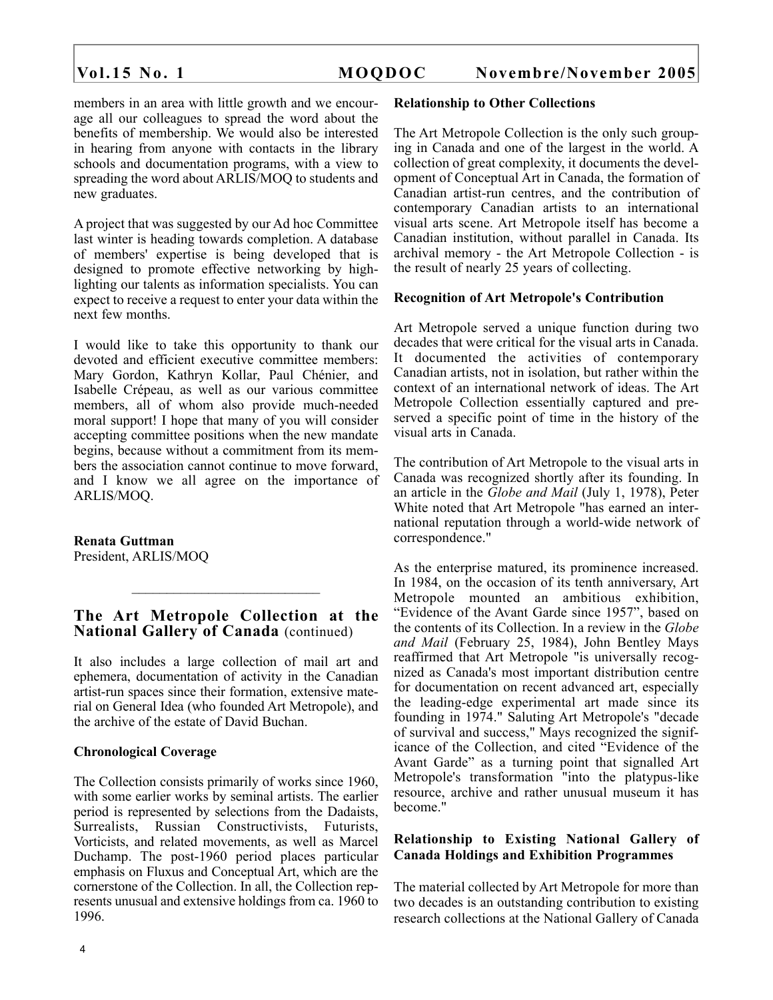members in an area with little growth and we encourage all our colleagues to spread the word about the benefits of membership. We would also be interested in hearing from anyone with contacts in the library schools and documentation programs, with a view to spreading the word about ARLIS/MOQ to students and new graduates.

A project that was suggested by our Ad hoc Committee last winter is heading towards completion. A database of members' expertise is being developed that is designed to promote effective networking by highlighting our talents as information specialists. You can expect to receive a request to enter your data within the next few months.

I would like to take this opportunity to thank our devoted and efficient executive committee members: Mary Gordon, Kathryn Kollar, Paul Chénier, and Isabelle Crépeau, as well as our various committee members, all of whom also provide much-needed moral support! I hope that many of you will consider accepting committee positions when the new mandate begins, because without a commitment from its members the association cannot continue to move forward, and I know we all agree on the importance of ARLIS/MOQ.

**Renata Guttman** President, ARLIS/MOQ

# **The Art Metropole Collection at the National Gallery of Canada** (continued)

 $\mathcal{L}_\text{max}$ 

It also includes a large collection of mail art and ephemera, documentation of activity in the Canadian artist-run spaces since their formation, extensive material on General Idea (who founded Art Metropole), and the archive of the estate of David Buchan.

### **Chronological Coverage**

The Collection consists primarily of works since 1960, with some earlier works by seminal artists. The earlier period is represented by selections from the Dadaists, Surrealists, Russian Constructivists, Futurists, Vorticists, and related movements, as well as Marcel Duchamp. The post-1960 period places particular emphasis on Fluxus and Conceptual Art, which are the cornerstone of the Collection. In all, the Collection represents unusual and extensive holdings from ca. 1960 to 1996.

### **Relationship to Other Collections**

The Art Metropole Collection is the only such grouping in Canada and one of the largest in the world. A collection of great complexity, it documents the development of Conceptual Art in Canada, the formation of Canadian artist-run centres, and the contribution of contemporary Canadian artists to an international visual arts scene. Art Metropole itself has become a Canadian institution, without parallel in Canada. Its archival memory - the Art Metropole Collection - is the result of nearly 25 years of collecting.

### **Recognition of Art Metropole's Contribution**

Art Metropole served a unique function during two decades that were critical for the visual arts in Canada. It documented the activities of contemporary Canadian artists, not in isolation, but rather within the context of an international network of ideas. The Art Metropole Collection essentially captured and preserved a specific point of time in the history of the visual arts in Canada.

The contribution of Art Metropole to the visual arts in Canada was recognized shortly after its founding. In an article in the *Globe and Mail* (July 1, 1978), Peter White noted that Art Metropole "has earned an international reputation through a world-wide network of correspondence."

As the enterprise matured, its prominence increased. In 1984, on the occasion of its tenth anniversary, Art Metropole mounted an ambitious exhibition, "Evidence of the Avant Garde since 1957", based on the contents of its Collection. In a review in the *Globe and Mail* (February 25, 1984), John Bentley Mays reaffirmed that Art Metropole "is universally recognized as Canada's most important distribution centre for documentation on recent advanced art, especially the leading-edge experimental art made since its founding in 1974." Saluting Art Metropole's "decade of survival and success," Mays recognized the significance of the Collection, and cited "Evidence of the Avant Garde" as a turning point that signalled Art Metropole's transformation "into the platypus-like resource, archive and rather unusual museum it has become."

### **Relationship to Existing National Gallery of Canada Holdings and Exhibition Programmes**

The material collected by Art Metropole for more than two decades is an outstanding contribution to existing research collections at the National Gallery of Canada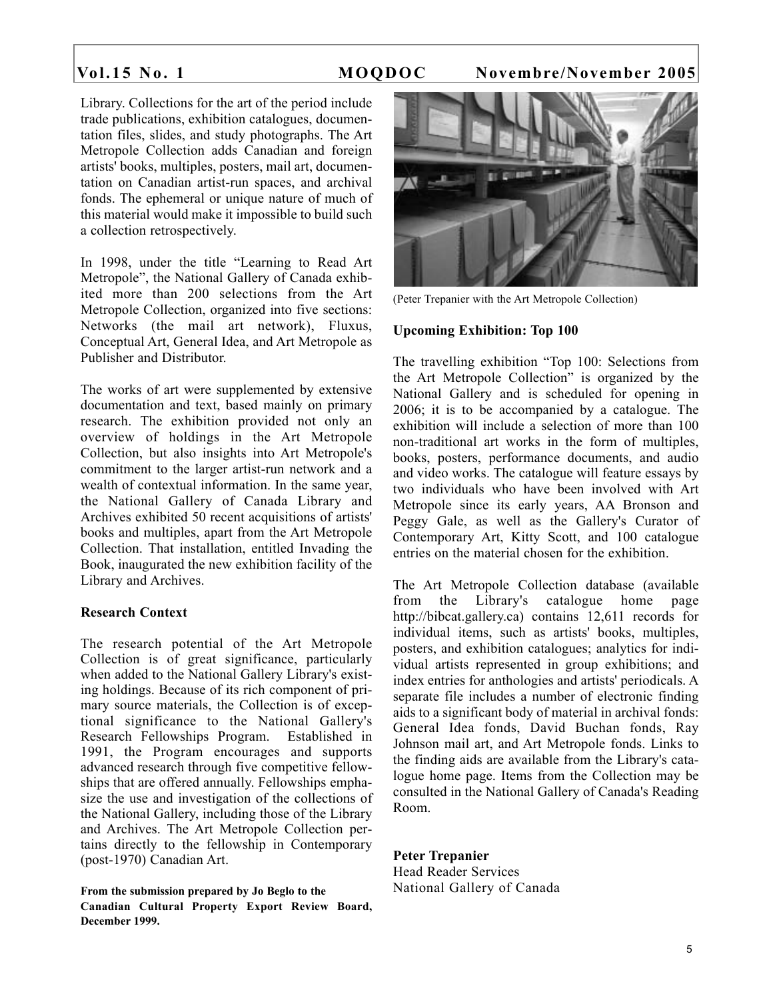Library. Collections for the art of the period include trade publications, exhibition catalogues, documentation files, slides, and study photographs. The Art Metropole Collection adds Canadian and foreign artists' books, multiples, posters, mail art, documentation on Canadian artist-run spaces, and archival fonds. The ephemeral or unique nature of much of this material would make it impossible to build such a collection retrospectively.

In 1998, under the title "Learning to Read Art Metropole", the National Gallery of Canada exhibited more than 200 selections from the Art Metropole Collection, organized into five sections: Networks (the mail art network), Fluxus, Conceptual Art, General Idea, and Art Metropole as Publisher and Distributor.

The works of art were supplemented by extensive documentation and text, based mainly on primary research. The exhibition provided not only an overview of holdings in the Art Metropole Collection, but also insights into Art Metropole's commitment to the larger artist-run network and a wealth of contextual information. In the same year, the National Gallery of Canada Library and Archives exhibited 50 recent acquisitions of artists' books and multiples, apart from the Art Metropole Collection. That installation, entitled Invading the Book, inaugurated the new exhibition facility of the Library and Archives.

### **Research Context**

The research potential of the Art Metropole Collection is of great significance, particularly when added to the National Gallery Library's existing holdings. Because of its rich component of primary source materials, the Collection is of exceptional significance to the National Gallery's Research Fellowships Program. Established in 1991, the Program encourages and supports advanced research through five competitive fellowships that are offered annually. Fellowships emphasize the use and investigation of the collections of the National Gallery, including those of the Library and Archives. The Art Metropole Collection pertains directly to the fellowship in Contemporary (post-1970) Canadian Art.

**From the submission prepared by Jo Beglo to the Canadian Cultural Property Export Review Board, December 1999.**



(Peter Trepanier with the Art Metropole Collection)

### **Upcoming Exhibition: Top 100**

The travelling exhibition "Top 100: Selections from the Art Metropole Collection" is organized by the National Gallery and is scheduled for opening in 2006; it is to be accompanied by a catalogue. The exhibition will include a selection of more than 100 non-traditional art works in the form of multiples, books, posters, performance documents, and audio and video works. The catalogue will feature essays by two individuals who have been involved with Art Metropole since its early years, AA Bronson and Peggy Gale, as well as the Gallery's Curator of Contemporary Art, Kitty Scott, and 100 catalogue entries on the material chosen for the exhibition.

The Art Metropole Collection database (available from the Library's catalogue home page http://bibcat.gallery.ca) contains 12,611 records for individual items, such as artists' books, multiples, posters, and exhibition catalogues; analytics for individual artists represented in group exhibitions; and index entries for anthologies and artists' periodicals. A separate file includes a number of electronic finding aids to a significant body of material in archival fonds: General Idea fonds, David Buchan fonds, Ray Johnson mail art, and Art Metropole fonds. Links to the finding aids are available from the Library's catalogue home page. Items from the Collection may be consulted in the National Gallery of Canada's Reading Room.

### **Peter Trepanier**

Head Reader Services National Gallery of Canada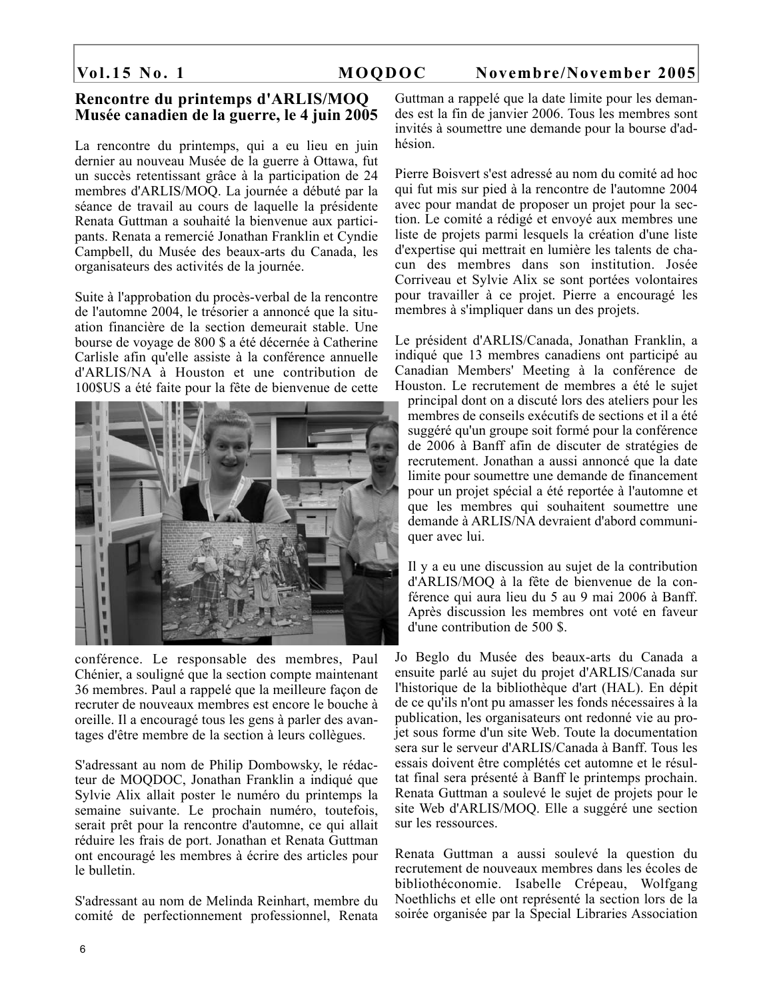### **Rencontre du printemps d'ARLIS/MOQ Musée canadien de la guerre, le 4 juin 2005**

La rencontre du printemps, qui a eu lieu en juin dernier au nouveau Musée de la guerre à Ottawa, fut un succès retentissant grâce à la participation de 24 membres d'ARLIS/MOQ. La journée a débuté par la séance de travail au cours de laquelle la présidente Renata Guttman a souhaité la bienvenue aux participants. Renata a remercié Jonathan Franklin et Cyndie Campbell, du Musée des beaux-arts du Canada, les organisateurs des activités de la journée.

Suite à l'approbation du procès-verbal de la rencontre de l'automne 2004, le trésorier a annoncé que la situation financière de la section demeurait stable. Une bourse de voyage de 800 \$ a été décernée à Catherine Carlisle afin qu'elle assiste à la conférence annuelle d'ARLIS/NA à Houston et une contribution de 100\$US a été faite pour la fête de bienvenue de cette



conférence. Le responsable des membres, Paul Chénier, a souligné que la section compte maintenant 36 membres. Paul a rappelé que la meilleure façon de recruter de nouveaux membres est encore le bouche à oreille. Il a encouragé tous les gens à parler des avantages d'être membre de la section à leurs collègues.

S'adressant au nom de Philip Dombowsky, le rédacteur de MOQDOC, Jonathan Franklin a indiqué que Sylvie Alix allait poster le numéro du printemps la semaine suivante. Le prochain numéro, toutefois, serait prêt pour la rencontre d'automne, ce qui allait réduire les frais de port. Jonathan et Renata Guttman ont encouragé les membres à écrire des articles pour le bulletin.

S'adressant au nom de Melinda Reinhart, membre du comité de perfectionnement professionnel, Renata Guttman a rappelé que la date limite pour les demandes est la fin de janvier 2006. Tous les membres sont invités à soumettre une demande pour la bourse d'adhésion.

Pierre Boisvert s'est adressé au nom du comité ad hoc qui fut mis sur pied à la rencontre de l'automne 2004 avec pour mandat de proposer un projet pour la section. Le comité a rédigé et envoyé aux membres une liste de projets parmi lesquels la création d'une liste d'expertise qui mettrait en lumière les talents de chacun des membres dans son institution. Josée Corriveau et Sylvie Alix se sont portées volontaires pour travailler à ce projet. Pierre a encouragé les membres à s'impliquer dans un des projets.

Le président d'ARLIS/Canada, Jonathan Franklin, a indiqué que 13 membres canadiens ont participé au Canadian Members' Meeting à la conférence de Houston. Le recrutement de membres a été le sujet principal dont on a discuté lors des ateliers pour les membres de conseils exécutifs de sections et il a été suggéré qu'un groupe soit formé pour la conférence de 2006 à Banff afin de discuter de stratégies de recrutement. Jonathan a aussi annoncé que la date limite pour soumettre une demande de financement pour un projet spécial a été reportée à l'automne et que les membres qui souhaitent soumettre une demande à ARLIS/NA devraient d'abord communiquer avec lui.

Il y a eu une discussion au sujet de la contribution d'ARLIS/MOQ à la fête de bienvenue de la conférence qui aura lieu du 5 au 9 mai 2006 à Banff. Après discussion les membres ont voté en faveur d'une contribution de 500 \$.

Jo Beglo du Musée des beaux-arts du Canada a ensuite parlé au sujet du projet d'ARLIS/Canada sur l'historique de la bibliothèque d'art (HAL). En dépit de ce qu'ils n'ont pu amasser les fonds nécessaires à la publication, les organisateurs ont redonné vie au projet sous forme d'un site Web. Toute la documentation sera sur le serveur d'ARLIS/Canada à Banff. Tous les essais doivent être complétés cet automne et le résultat final sera présenté à Banff le printemps prochain. Renata Guttman a soulevé le sujet de projets pour le site Web d'ARLIS/MOQ. Elle a suggéré une section sur les ressources.

Renata Guttman a aussi soulevé la question du recrutement de nouveaux membres dans les écoles de bibliothéconomie. Isabelle Crépeau, Wolfgang Noethlichs et elle ont représenté la section lors de la soirée organisée par la Special Libraries Association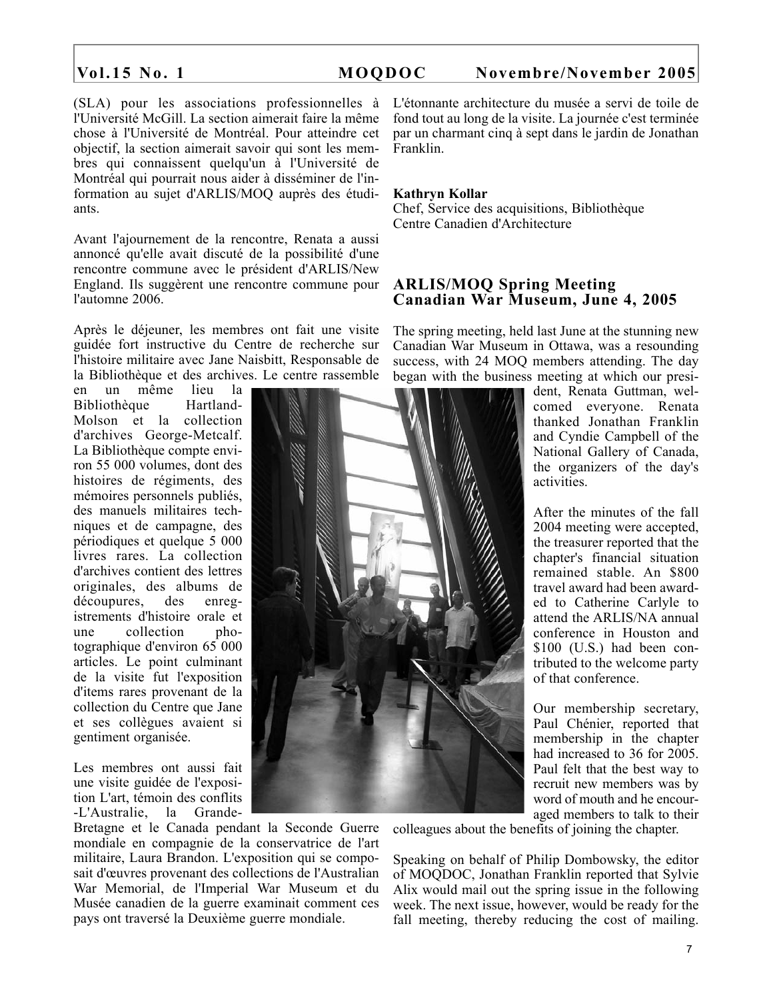(SLA) pour les associations professionnelles à l'Université McGill. La section aimerait faire la même chose à l'Université de Montréal. Pour atteindre cet objectif, la section aimerait savoir qui sont les membres qui connaissent quelqu'un à l'Université de Montréal qui pourrait nous aider à disséminer de l'information au sujet d'ARLIS/MOQ auprès des étudiants.

Avant l'ajournement de la rencontre, Renata a aussi annoncé qu'elle avait discuté de la possibilité d'une rencontre commune avec le président d'ARLIS/New England. Ils suggèrent une rencontre commune pour l'automne 2006.

Après le déjeuner, les membres ont fait une visite guidée fort instructive du Centre de recherche sur l'histoire militaire avec Jane Naisbitt, Responsable de la Bibliothèque et des archives. Le centre rassemble

en un même lieu la Bibliothèque Hartland-Molson et la collection d'archives George-Metcalf. La Bibliothèque compte environ 55 000 volumes, dont des histoires de régiments, des mémoires personnels publiés, des manuels militaires techniques et de campagne, des périodiques et quelque 5 000 livres rares. La collection d'archives contient des lettres originales, des albums de découpures, des enregistrements d'histoire orale et une collection photographique d'environ 65 000 articles. Le point culminant de la visite fut l'exposition d'items rares provenant de la collection du Centre que Jane et ses collègues avaient si gentiment organisée.

Les membres ont aussi fait une visite guidée de l'exposition L'art, témoin des conflits -L'Australie, la Grande-

Bretagne et le Canada pendant la Seconde Guerre mondiale en compagnie de la conservatrice de l'art militaire, Laura Brandon. L'exposition qui se composait d'œuvres provenant des collections de l'Australian War Memorial, de l'Imperial War Museum et du Musée canadien de la guerre examinait comment ces pays ont traversé la Deuxième guerre mondiale.

L'étonnante architecture du musée a servi de toile de fond tout au long de la visite. La journée c'est terminée par un charmant cinq à sept dans le jardin de Jonathan Franklin.

### **Kathryn Kollar**

Chef, Service des acquisitions, Bibliothèque Centre Canadien d'Architecture

### **ARLIS/MOQ Spring Meeting Canadian War Museum, June 4, 2005**

The spring meeting, held last June at the stunning new Canadian War Museum in Ottawa, was a resounding success, with 24 MOQ members attending. The day began with the business meeting at which our presi-

> dent, Renata Guttman, welcomed everyone. Renata thanked Jonathan Franklin and Cyndie Campbell of the National Gallery of Canada, the organizers of the day's activities.

> After the minutes of the fall 2004 meeting were accepted, the treasurer reported that the chapter's financial situation remained stable. An \$800 travel award had been awarded to Catherine Carlyle to attend the ARLIS/NA annual conference in Houston and \$100 (U.S.) had been contributed to the welcome party of that conference.

> Our membership secretary, Paul Chénier, reported that membership in the chapter had increased to 36 for 2005. Paul felt that the best way to recruit new members was by word of mouth and he encouraged members to talk to their

colleagues about the benefits of joining the chapter.

Speaking on behalf of Philip Dombowsky, the editor of MOQDOC, Jonathan Franklin reported that Sylvie Alix would mail out the spring issue in the following week. The next issue, however, would be ready for the fall meeting, thereby reducing the cost of mailing.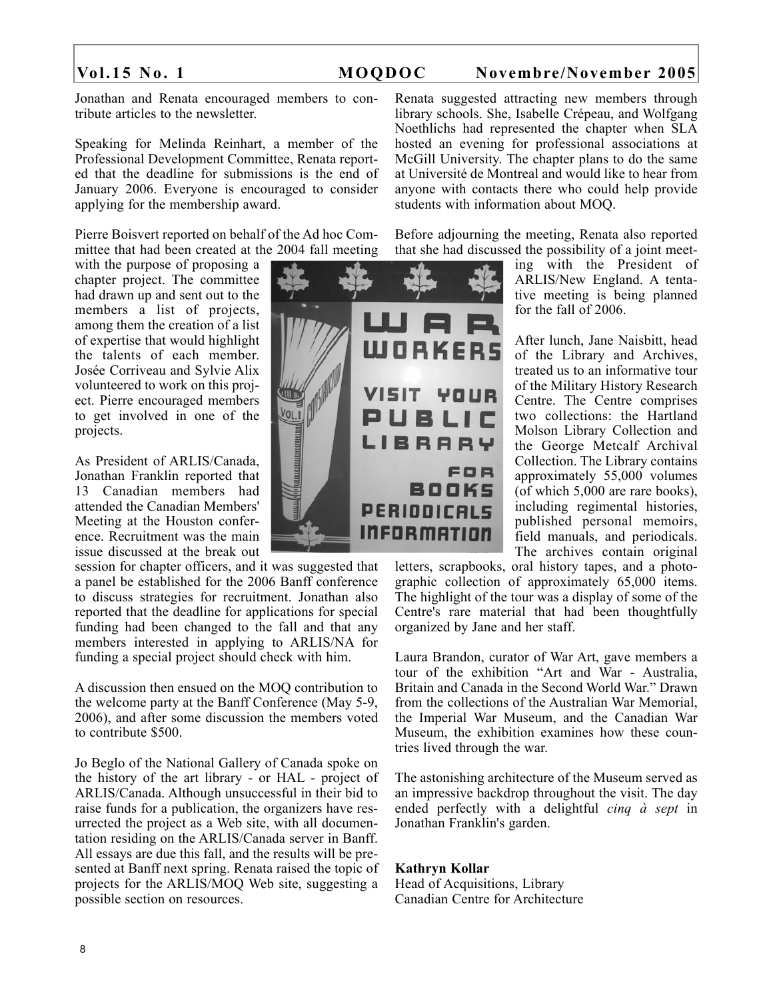Jonathan and Renata encouraged members to contribute articles to the newsletter.

Speaking for Melinda Reinhart, a member of the Professional Development Committee, Renata reported that the deadline for submissions is the end of January 2006. Everyone is encouraged to consider applying for the membership award.

Pierre Boisvert reported on behalf of the Ad hoc Committee that had been created at the 2004 fall meeting

with the purpose of proposing a chapter project. The committee had drawn up and sent out to the members a list of projects, among them the creation of a list of expertise that would highlight the talents of each member. Josée Corriveau and Sylvie Alix volunteered to work on this project. Pierre encouraged members to get involved in one of the projects.

As President of ARLIS/Canada, Jonathan Franklin reported that 13 Canadian members had attended the Canadian Members' Meeting at the Houston conference. Recruitment was the main issue discussed at the break out

session for chapter officers, and it was suggested that a panel be established for the 2006 Banff conference to discuss strategies for recruitment. Jonathan also reported that the deadline for applications for special funding had been changed to the fall and that any members interested in applying to ARLIS/NA for funding a special project should check with him.

A discussion then ensued on the MOQ contribution to the welcome party at the Banff Conference (May 5-9, 2006), and after some discussion the members voted to contribute \$500.

Jo Beglo of the National Gallery of Canada spoke on the history of the art library - or HAL - project of ARLIS/Canada. Although unsuccessful in their bid to raise funds for a publication, the organizers have resurrected the project as a Web site, with all documentation residing on the ARLIS/Canada server in Banff. All essays are due this fall, and the results will be presented at Banff next spring. Renata raised the topic of projects for the ARLIS/MOQ Web site, suggesting a possible section on resources.



Renata suggested attracting new members through library schools. She, Isabelle Crépeau, and Wolfgang Noethlichs had represented the chapter when SLA hosted an evening for professional associations at McGill University. The chapter plans to do the same at Université de Montreal and would like to hear from anyone with contacts there who could help provide students with information about MOQ.

Before adjourning the meeting, Renata also reported that she had discussed the possibility of a joint meet-

> ing with the President of ARLIS/New England. A tentative meeting is being planned for the fall of 2006.

> After lunch, Jane Naisbitt, head of the Library and Archives, treated us to an informative tour of the Military History Research Centre. The Centre comprises two collections: the Hartland Molson Library Collection and the George Metcalf Archival Collection. The Library contains approximately 55,000 volumes (of which 5,000 are rare books), including regimental histories, published personal memoirs, field manuals, and periodicals. The archives contain original

letters, scrapbooks, oral history tapes, and a photographic collection of approximately 65,000 items. The highlight of the tour was a display of some of the Centre's rare material that had been thoughtfully organized by Jane and her staff.

Laura Brandon, curator of War Art, gave members a tour of the exhibition "Art and War - Australia, Britain and Canada in the Second World War." Drawn from the collections of the Australian War Memorial, the Imperial War Museum, and the Canadian War Museum, the exhibition examines how these countries lived through the war.

The astonishing architecture of the Museum served as an impressive backdrop throughout the visit. The day ended perfectly with a delightful *cinq à sept* in Jonathan Franklin's garden.

### **Kathryn Kollar**

Head of Acquisitions, Library Canadian Centre for Architecture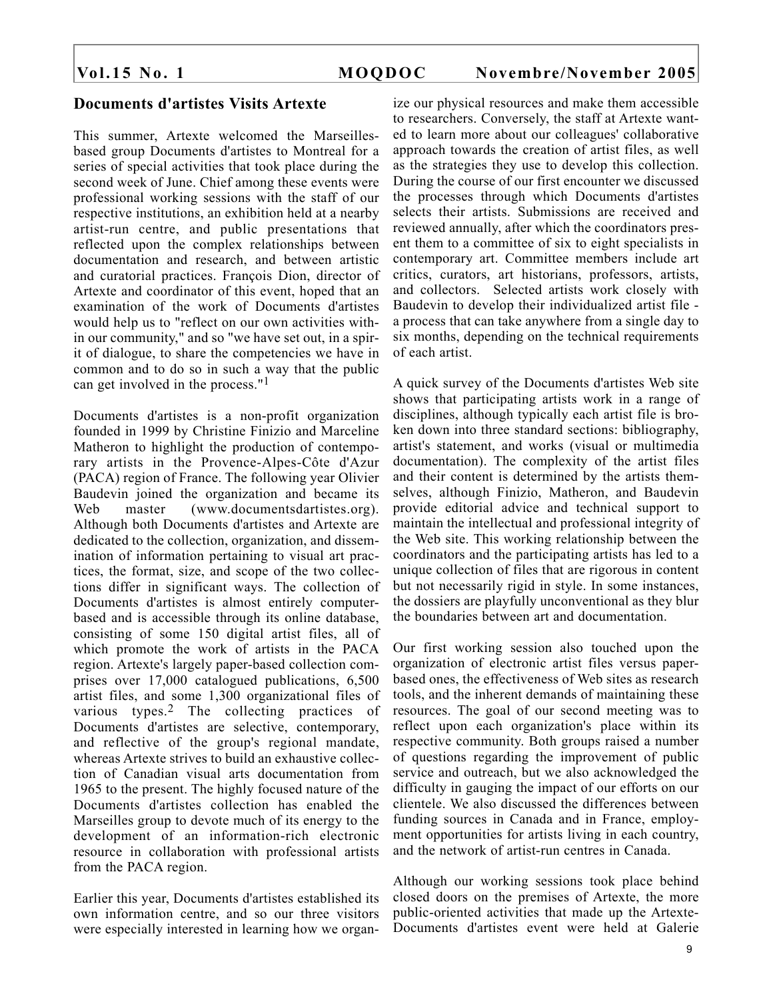# **Documents d'artistes Visits Artexte**

This summer, Artexte welcomed the Marseillesbased group Documents d'artistes to Montreal for a series of special activities that took place during the second week of June. Chief among these events were professional working sessions with the staff of our respective institutions, an exhibition held at a nearby artist-run centre, and public presentations that reflected upon the complex relationships between documentation and research, and between artistic and curatorial practices. François Dion, director of Artexte and coordinator of this event, hoped that an examination of the work of Documents d'artistes would help us to "reflect on our own activities within our community," and so "we have set out, in a spirit of dialogue, to share the competencies we have in common and to do so in such a way that the public can get involved in the process."1

Documents d'artistes is a non-profit organization founded in 1999 by Christine Finizio and Marceline Matheron to highlight the production of contemporary artists in the Provence-Alpes-Côte d'Azur (PACA) region of France. The following year Olivier Baudevin joined the organization and became its Web master (www.documentsdartistes.org). Although both Documents d'artistes and Artexte are dedicated to the collection, organization, and dissemination of information pertaining to visual art practices, the format, size, and scope of the two collections differ in significant ways. The collection of Documents d'artistes is almost entirely computerbased and is accessible through its online database, consisting of some 150 digital artist files, all of which promote the work of artists in the PACA region. Artexte's largely paper-based collection comprises over 17,000 catalogued publications, 6,500 artist files, and some 1,300 organizational files of various types.2 The collecting practices of Documents d'artistes are selective, contemporary, and reflective of the group's regional mandate, whereas Artexte strives to build an exhaustive collection of Canadian visual arts documentation from 1965 to the present. The highly focused nature of the Documents d'artistes collection has enabled the Marseilles group to devote much of its energy to the development of an information-rich electronic resource in collaboration with professional artists from the PACA region.

Earlier this year, Documents d'artistes established its own information centre, and so our three visitors were especially interested in learning how we organ-

ize our physical resources and make them accessible to researchers. Conversely, the staff at Artexte wanted to learn more about our colleagues' collaborative approach towards the creation of artist files, as well as the strategies they use to develop this collection. During the course of our first encounter we discussed the processes through which Documents d'artistes selects their artists. Submissions are received and reviewed annually, after which the coordinators present them to a committee of six to eight specialists in contemporary art. Committee members include art critics, curators, art historians, professors, artists, and collectors. Selected artists work closely with Baudevin to develop their individualized artist file a process that can take anywhere from a single day to six months, depending on the technical requirements of each artist.

A quick survey of the Documents d'artistes Web site shows that participating artists work in a range of disciplines, although typically each artist file is broken down into three standard sections: bibliography, artist's statement, and works (visual or multimedia documentation). The complexity of the artist files and their content is determined by the artists themselves, although Finizio, Matheron, and Baudevin provide editorial advice and technical support to maintain the intellectual and professional integrity of the Web site. This working relationship between the coordinators and the participating artists has led to a unique collection of files that are rigorous in content but not necessarily rigid in style. In some instances, the dossiers are playfully unconventional as they blur the boundaries between art and documentation.

Our first working session also touched upon the organization of electronic artist files versus paperbased ones, the effectiveness of Web sites as research tools, and the inherent demands of maintaining these resources. The goal of our second meeting was to reflect upon each organization's place within its respective community. Both groups raised a number of questions regarding the improvement of public service and outreach, but we also acknowledged the difficulty in gauging the impact of our efforts on our clientele. We also discussed the differences between funding sources in Canada and in France, employment opportunities for artists living in each country, and the network of artist-run centres in Canada.

Although our working sessions took place behind closed doors on the premises of Artexte, the more public-oriented activities that made up the Artexte-Documents d'artistes event were held at Galerie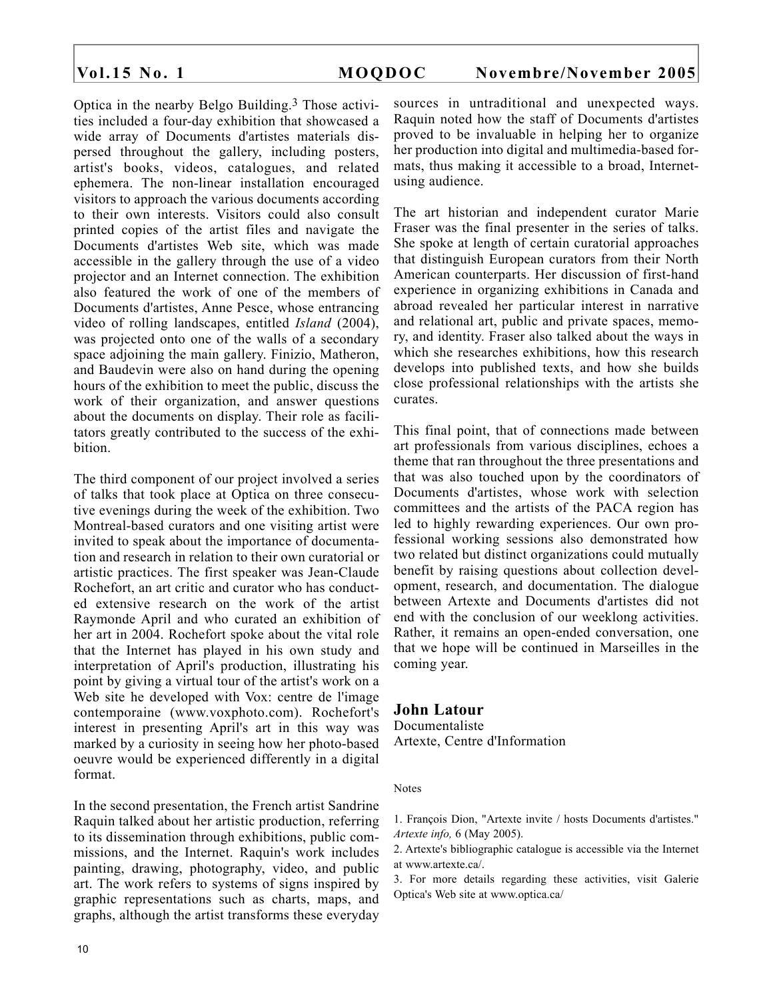Optica in the nearby Belgo Building.3 Those activities included a four-day exhibition that showcased a wide array of Documents d'artistes materials dispersed throughout the gallery, including posters, artist's books, videos, catalogues, and related ephemera. The non-linear installation encouraged visitors to approach the various documents according to their own interests. Visitors could also consult printed copies of the artist files and navigate the Documents d'artistes Web site, which was made accessible in the gallery through the use of a video projector and an Internet connection. The exhibition also featured the work of one of the members of Documents d'artistes, Anne Pesce, whose entrancing video of rolling landscapes, entitled *Island* (2004), was projected onto one of the walls of a secondary space adjoining the main gallery. Finizio, Matheron, and Baudevin were also on hand during the opening hours of the exhibition to meet the public, discuss the work of their organization, and answer questions about the documents on display. Their role as facilitators greatly contributed to the success of the exhibition.

The third component of our project involved a series of talks that took place at Optica on three consecutive evenings during the week of the exhibition. Two Montreal-based curators and one visiting artist were invited to speak about the importance of documentation and research in relation to their own curatorial or artistic practices. The first speaker was Jean-Claude Rochefort, an art critic and curator who has conducted extensive research on the work of the artist Raymonde April and who curated an exhibition of her art in 2004. Rochefort spoke about the vital role that the Internet has played in his own study and interpretation of April's production, illustrating his point by giving a virtual tour of the artist's work on a Web site he developed with Vox: centre de l'image contemporaine (www.voxphoto.com). Rochefort's interest in presenting April's art in this way was marked by a curiosity in seeing how her photo-based oeuvre would be experienced differently in a digital format.

In the second presentation, the French artist Sandrine Raquin talked about her artistic production, referring to its dissemination through exhibitions, public commissions, and the Internet. Raquin's work includes painting, drawing, photography, video, and public art. The work refers to systems of signs inspired by graphic representations such as charts, maps, and graphs, although the artist transforms these everyday

sources in untraditional and unexpected ways. Raquin noted how the staff of Documents d'artistes proved to be invaluable in helping her to organize her production into digital and multimedia-based formats, thus making it accessible to a broad, Internetusing audience.

The art historian and independent curator Marie Fraser was the final presenter in the series of talks. She spoke at length of certain curatorial approaches that distinguish European curators from their North American counterparts. Her discussion of first-hand experience in organizing exhibitions in Canada and abroad revealed her particular interest in narrative and relational art, public and private spaces, memory, and identity. Fraser also talked about the ways in which she researches exhibitions, how this research develops into published texts, and how she builds close professional relationships with the artists she curates.

This final point, that of connections made between art professionals from various disciplines, echoes a theme that ran throughout the three presentations and that was also touched upon by the coordinators of Documents d'artistes, whose work with selection committees and the artists of the PACA region has led to highly rewarding experiences. Our own professional working sessions also demonstrated how two related but distinct organizations could mutually benefit by raising questions about collection development, research, and documentation. The dialogue between Artexte and Documents d'artistes did not end with the conclusion of our weeklong activities. Rather, it remains an open-ended conversation, one that we hope will be continued in Marseilles in the coming year.

# **John Latour**

Documentaliste Artexte, Centre d'Information

### **Notes**

1. François Dion, "Artexte invite / hosts Documents d'artistes." *Artexte info,* 6 (May 2005).

2. Artexte's bibliographic catalogue is accessible via the Internet at www.artexte.ca/.

3. For more details regarding these activities, visit Galerie Optica's Web site at www.optica.ca/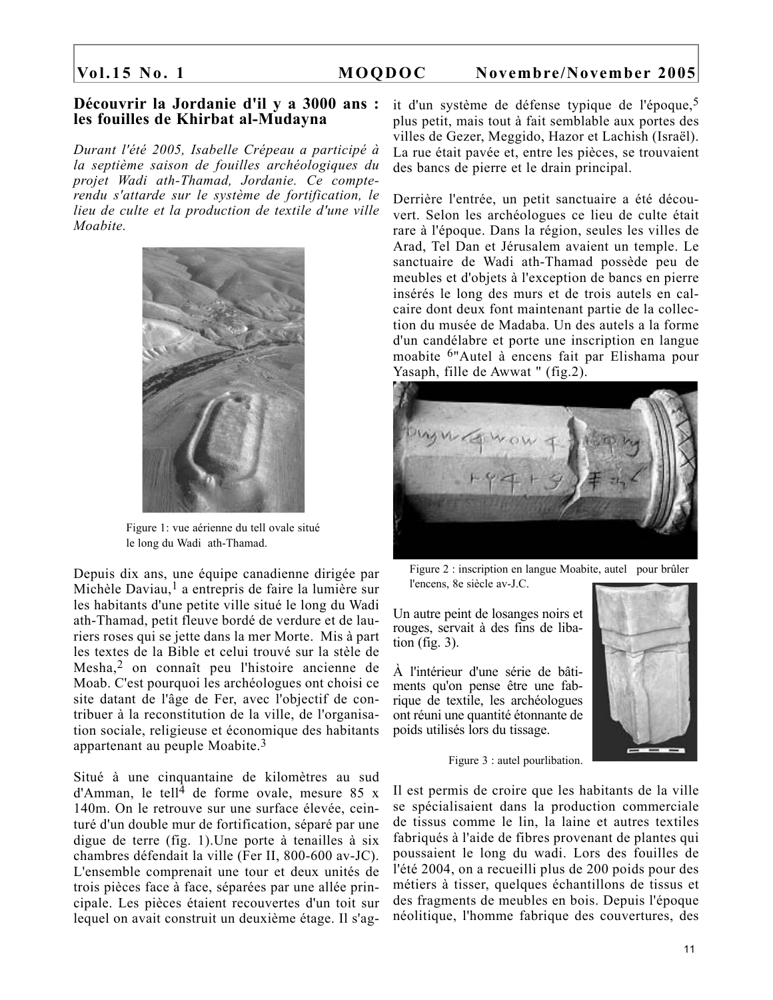### **Découvrir la Jordanie d'il y a 3000 ans : les fouilles de Khirbat al-Mudayna**

*Durant l'été 2005, Isabelle Crépeau a participé à la septième saison de fouilles archéologiques du projet Wadi ath-Thamad, Jordanie. Ce compterendu s'attarde sur le système de fortification, le lieu de culte et la production de textile d'une ville Moabite.*



Figure 1: vue aérienne du tell ovale situé le long du Wadi ath-Thamad.

Depuis dix ans, une équipe canadienne dirigée par Michèle Daviau,<sup>1</sup> a entrepris de faire la lumière sur les habitants d'une petite ville situé le long du Wadi ath-Thamad, petit fleuve bordé de verdure et de lauriers roses qui se jette dans la mer Morte. Mis à part les textes de la Bible et celui trouvé sur la stèle de Mesha,2 on connaît peu l'histoire ancienne de Moab. C'est pourquoi les archéologues ont choisi ce site datant de l'âge de Fer, avec l'objectif de contribuer à la reconstitution de la ville, de l'organisation sociale, religieuse et économique des habitants appartenant au peuple Moabite.3

Situé à une cinquantaine de kilomètres au sud d'Amman, le tell<sup>4</sup> de forme ovale, mesure 85 x 140m. On le retrouve sur une surface élevée, ceinturé d'un double mur de fortification, séparé par une digue de terre (fig. 1).Une porte à tenailles à six chambres défendait la ville (Fer II, 800-600 av-JC). L'ensemble comprenait une tour et deux unités de trois pièces face à face, séparées par une allée principale. Les pièces étaient recouvertes d'un toit sur lequel on avait construit un deuxième étage. Il s'agit d'un système de défense typique de l'époque,5 plus petit, mais tout à fait semblable aux portes des villes de Gezer, Meggido, Hazor et Lachish (Israël). La rue était pavée et, entre les pièces, se trouvaient des bancs de pierre et le drain principal.

Derrière l'entrée, un petit sanctuaire a été découvert. Selon les archéologues ce lieu de culte était rare à l'époque. Dans la région, seules les villes de Arad, Tel Dan et Jérusalem avaient un temple. Le sanctuaire de Wadi ath-Thamad possède peu de meubles et d'objets à l'exception de bancs en pierre insérés le long des murs et de trois autels en calcaire dont deux font maintenant partie de la collection du musée de Madaba. Un des autels a la forme d'un candélabre et porte une inscription en langue moabite 6"Autel à encens fait par Elishama pour Yasaph, fille de Awwat " (fig.2).



Figure 2 : inscription en langue Moabite, autel pour brûler l'encens, 8e siècle av-J.C.

Un autre peint de losanges noirs et rouges, servait à des fins de libation (fig.  $3$ ).

À l'intérieur d'une série de bâtiments qu'on pense être une fabrique de textile, les archéologues ont réuni une quantité étonnante de poids utilisés lors du tissage.



Figure 3 : autel pourlibation.

Il est permis de croire que les habitants de la ville se spécialisaient dans la production commerciale de tissus comme le lin, la laine et autres textiles fabriqués à l'aide de fibres provenant de plantes qui poussaient le long du wadi. Lors des fouilles de l'été 2004, on a recueilli plus de 200 poids pour des métiers à tisser, quelques échantillons de tissus et des fragments de meubles en bois. Depuis l'époque néolitique, l'homme fabrique des couvertures, des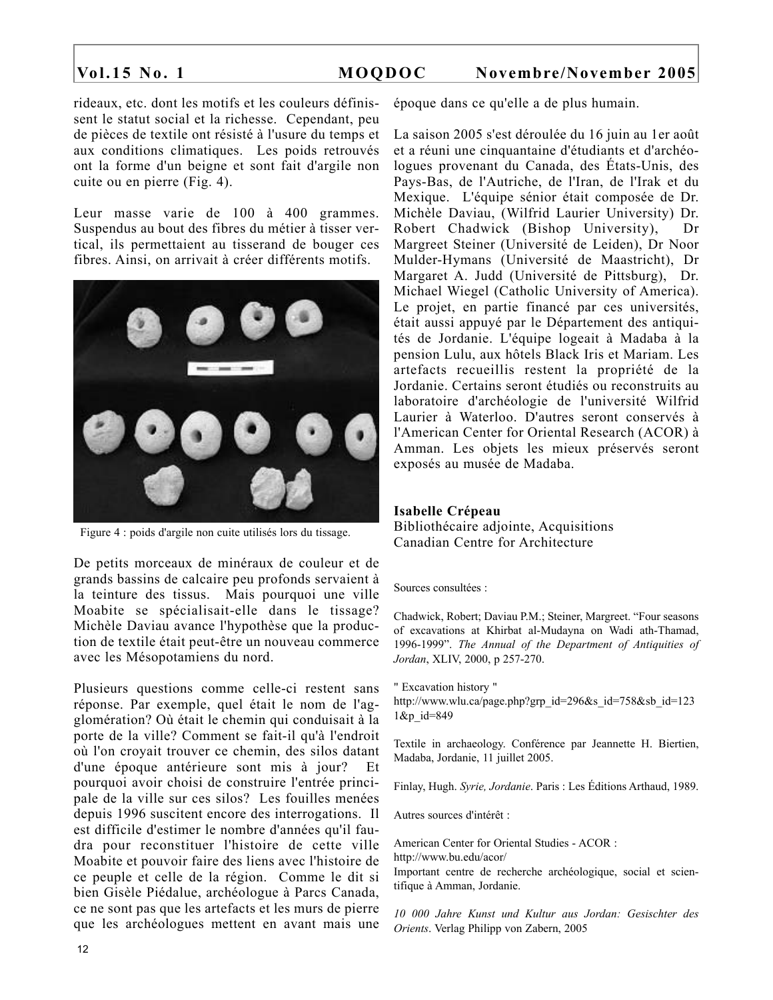rideaux, etc. dont les motifs et les couleurs définissent le statut social et la richesse. Cependant, peu de pièces de textile ont résisté à l'usure du temps et aux conditions climatiques. Les poids retrouvés ont la forme d'un beigne et sont fait d'argile non cuite ou en pierre (Fig. 4).

Leur masse varie de 100 à 400 grammes. Suspendus au bout des fibres du métier à tisser vertical, ils permettaient au tisserand de bouger ces fibres. Ainsi, on arrivait à créer différents motifs.



Figure 4 : poids d'argile non cuite utilisés lors du tissage.

De petits morceaux de minéraux de couleur et de grands bassins de calcaire peu profonds servaient à la teinture des tissus. Mais pourquoi une ville Moabite se spécialisait-elle dans le tissage? Michèle Daviau avance l'hypothèse que la production de textile était peut-être un nouveau commerce avec les Mésopotamiens du nord.

Plusieurs questions comme celle-ci restent sans réponse. Par exemple, quel était le nom de l'agglomération? Où était le chemin qui conduisait à la porte de la ville? Comment se fait-il qu'à l'endroit où l'on croyait trouver ce chemin, des silos datant d'une époque antérieure sont mis à jour? Et pourquoi avoir choisi de construire l'entrée principale de la ville sur ces silos? Les fouilles menées depuis 1996 suscitent encore des interrogations. Il est difficile d'estimer le nombre d'années qu'il faudra pour reconstituer l'histoire de cette ville Moabite et pouvoir faire des liens avec l'histoire de ce peuple et celle de la région. Comme le dit si bien Gisèle Piédalue, archéologue à Parcs Canada, ce ne sont pas que les artefacts et les murs de pierre que les archéologues mettent en avant mais une

époque dans ce qu'elle a de plus humain.

La saison 2005 s'est déroulée du 16 juin au 1er août et a réuni une cinquantaine d'étudiants et d'archéologues provenant du Canada, des États-Unis, des Pays-Bas, de l'Autriche, de l'Iran, de l'Irak et du Mexique. L'équipe sénior était composée de Dr. Michèle Daviau, (Wilfrid Laurier University) Dr. Robert Chadwick (Bishop University), Dr Margreet Steiner (Université de Leiden), Dr Noor Mulder-Hymans (Université de Maastricht), Dr Margaret A. Judd (Université de Pittsburg), Dr. Michael Wiegel (Catholic University of America). Le projet, en partie financé par ces universités, était aussi appuyé par le Département des antiquités de Jordanie. L'équipe logeait à Madaba à la pension Lulu, aux hôtels Black Iris et Mariam. Les artefacts recueillis restent la propriété de la Jordanie. Certains seront étudiés ou reconstruits au laboratoire d'archéologie de l'université Wilfrid Laurier à Waterloo. D'autres seront conservés à l'American Center for Oriental Research (ACOR) à Amman. Les objets les mieux préservés seront exposés au musée de Madaba.

### **Isabelle Crépeau**

Bibliothécaire adjointe, Acquisitions Canadian Centre for Architecture

### Sources consultées :

Chadwick, Robert; Daviau P.M.; Steiner, Margreet. "Four seasons of excavations at Khirbat al-Mudayna on Wadi ath-Thamad, 1996-1999". *The Annual of the Department of Antiquities of Jordan*, XLIV, 2000, p 257-270.

" Excavation history "

http://www.wlu.ca/page.php?grp\_id=296&s\_id=758&sb\_id=123 1&p\_id=849

Textile in archaeology. Conférence par Jeannette H. Biertien, Madaba, Jordanie, 11 juillet 2005.

Finlay, Hugh. *Syrie, Jordanie*. Paris : Les Éditions Arthaud, 1989.

Autres sources d'intérêt :

American Center for Oriental Studies - ACOR : http://www.bu.edu/acor/

Important centre de recherche archéologique, social et scientifique à Amman, Jordanie.

*10 000 Jahre Kunst und Kultur aus Jordan: Gesischter des Orients*. Verlag Philipp von Zabern, 2005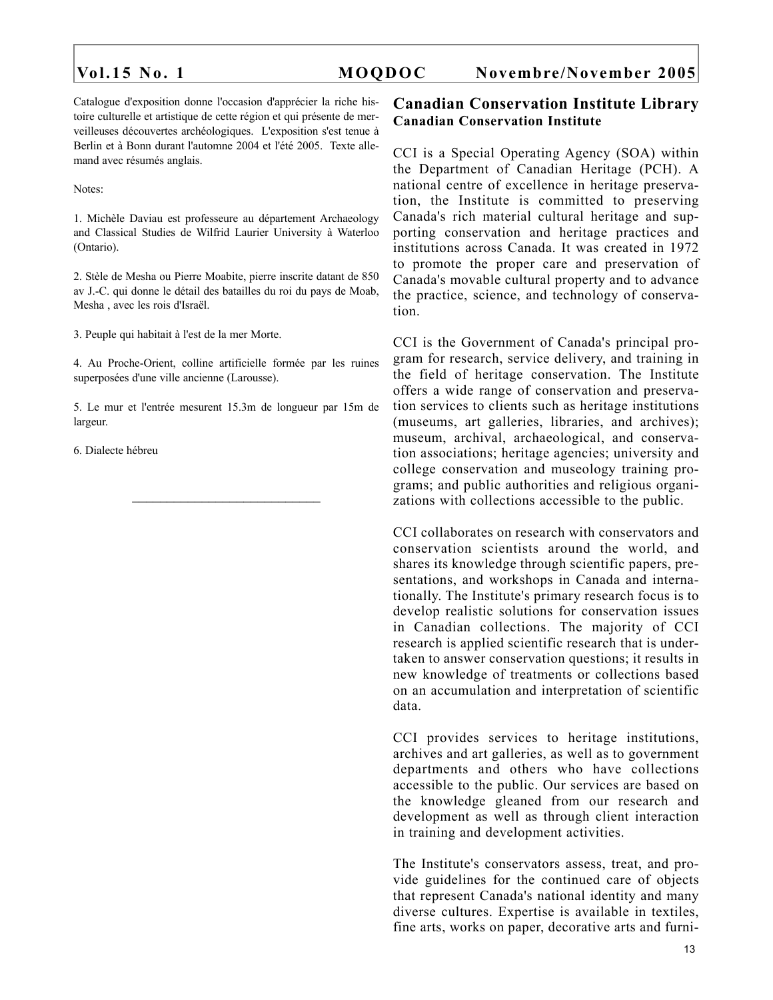Catalogue d'exposition donne l'occasion d'apprécier la riche histoire culturelle et artistique de cette région et qui présente de merveilleuses découvertes archéologiques. L'exposition s'est tenue à Berlin et à Bonn durant l'automne 2004 et l'été 2005. Texte allemand avec résumés anglais.

Notes:

1. Michèle Daviau est professeure au département Archaeology and Classical Studies de Wilfrid Laurier University à Waterloo (Ontario).

2. Stèle de Mesha ou Pierre Moabite, pierre inscrite datant de 850 av J.-C. qui donne le détail des batailles du roi du pays de Moab, Mesha , avec les rois d'Israël.

3. Peuple qui habitait à l'est de la mer Morte.

4. Au Proche-Orient, colline artificielle formée par les ruines superposées d'une ville ancienne (Larousse).

5. Le mur et l'entrée mesurent 15.3m de longueur par 15m de largeur.

 $\frac{1}{2}$  ,  $\frac{1}{2}$  ,  $\frac{1}{2}$  ,  $\frac{1}{2}$  ,  $\frac{1}{2}$  ,  $\frac{1}{2}$  ,  $\frac{1}{2}$  ,  $\frac{1}{2}$  ,  $\frac{1}{2}$  ,  $\frac{1}{2}$  ,  $\frac{1}{2}$  ,  $\frac{1}{2}$  ,  $\frac{1}{2}$  ,  $\frac{1}{2}$  ,  $\frac{1}{2}$  ,  $\frac{1}{2}$  ,  $\frac{1}{2}$  ,  $\frac{1}{2}$  ,  $\frac{1$ 

6. Dialecte hébreu

# **Canadian Conservation Institute Library Canadian Conservation Institute**

CCI is a Special Operating Agency (SOA) within the Department of Canadian Heritage (PCH). A national centre of excellence in heritage preservation, the Institute is committed to preserving Canada's rich material cultural heritage and supporting conservation and heritage practices and institutions across Canada. It was created in 1972 to promote the proper care and preservation of Canada's movable cultural property and to advance the practice, science, and technology of conservation.

CCI is the Government of Canada's principal program for research, service delivery, and training in the field of heritage conservation. The Institute offers a wide range of conservation and preservation services to clients such as heritage institutions (museums, art galleries, libraries, and archives); museum, archival, archaeological, and conservation associations; heritage agencies; university and college conservation and museology training programs; and public authorities and religious organizations with collections accessible to the public.

CCI collaborates on research with conservators and conservation scientists around the world, and shares its knowledge through scientific papers, presentations, and workshops in Canada and internationally. The Institute's primary research focus is to develop realistic solutions for conservation issues in Canadian collections. The majority of CCI research is applied scientific research that is undertaken to answer conservation questions; it results in new knowledge of treatments or collections based on an accumulation and interpretation of scientific data.

CCI provides services to heritage institutions, archives and art galleries, as well as to government departments and others who have collections accessible to the public. Our services are based on the knowledge gleaned from our research and development as well as through client interaction in training and development activities.

The Institute's conservators assess, treat, and provide guidelines for the continued care of objects that represent Canada's national identity and many diverse cultures. Expertise is available in textiles, fine arts, works on paper, decorative arts and furni-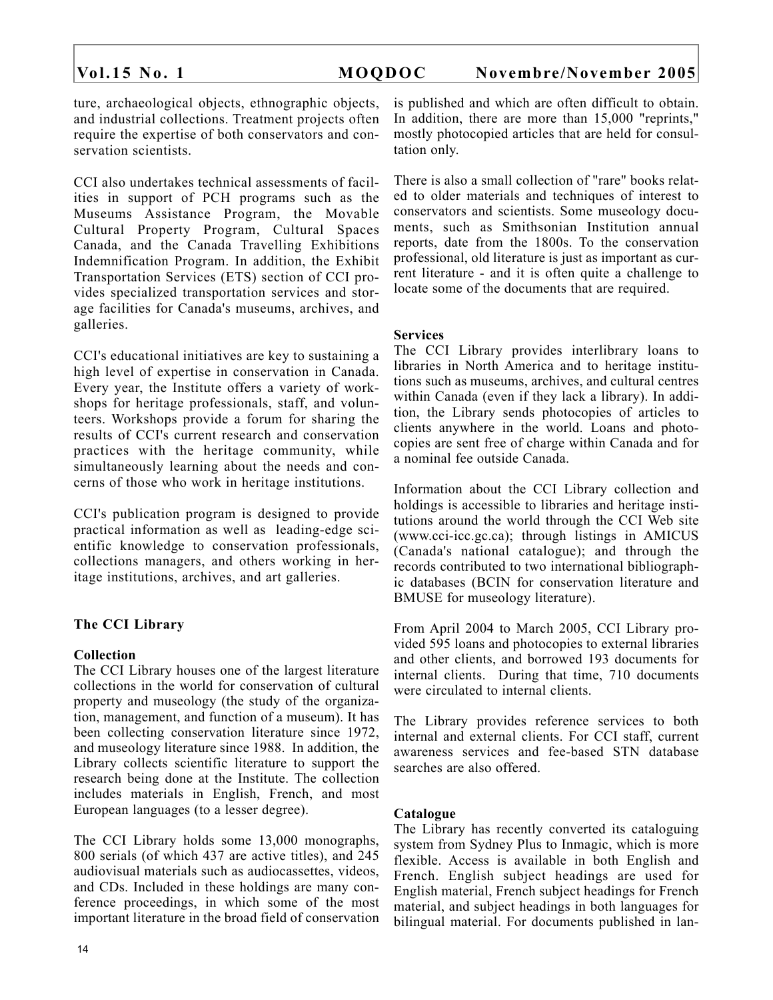ture, archaeological objects, ethnographic objects, and industrial collections. Treatment projects often require the expertise of both conservators and conservation scientists.

CCI also undertakes technical assessments of facilities in support of PCH programs such as the Museums Assistance Program, the Movable Cultural Property Program, Cultural Spaces Canada, and the Canada Travelling Exhibitions Indemnification Program. In addition, the Exhibit Transportation Services (ETS) section of CCI provides specialized transportation services and storage facilities for Canada's museums, archives, and galleries.

CCI's educational initiatives are key to sustaining a high level of expertise in conservation in Canada. Every year, the Institute offers a variety of workshops for heritage professionals, staff, and volunteers. Workshops provide a forum for sharing the results of CCI's current research and conservation practices with the heritage community, while simultaneously learning about the needs and concerns of those who work in heritage institutions.

CCI's publication program is designed to provide practical information as well as leading-edge scientific knowledge to conservation professionals, collections managers, and others working in heritage institutions, archives, and art galleries.

### **The CCI Library**

### **Collection**

The CCI Library houses one of the largest literature collections in the world for conservation of cultural property and museology (the study of the organization, management, and function of a museum). It has been collecting conservation literature since 1972, and museology literature since 1988. In addition, the Library collects scientific literature to support the research being done at the Institute. The collection includes materials in English, French, and most European languages (to a lesser degree).

The CCI Library holds some 13,000 monographs, 800 serials (of which 437 are active titles), and 245 audiovisual materials such as audiocassettes, videos, and CDs. Included in these holdings are many conference proceedings, in which some of the most important literature in the broad field of conservation

is published and which are often difficult to obtain. In addition, there are more than 15,000 "reprints," mostly photocopied articles that are held for consultation only.

There is also a small collection of "rare" books related to older materials and techniques of interest to conservators and scientists. Some museology documents, such as Smithsonian Institution annual reports, date from the 1800s. To the conservation professional, old literature is just as important as current literature - and it is often quite a challenge to locate some of the documents that are required.

# **Services**

The CCI Library provides interlibrary loans to libraries in North America and to heritage institutions such as museums, archives, and cultural centres within Canada (even if they lack a library). In addition, the Library sends photocopies of articles to clients anywhere in the world. Loans and photocopies are sent free of charge within Canada and for a nominal fee outside Canada.

Information about the CCI Library collection and holdings is accessible to libraries and heritage institutions around the world through the CCI Web site (www.cci-icc.gc.ca); through listings in AMICUS (Canada's national catalogue); and through the records contributed to two international bibliographic databases (BCIN for conservation literature and BMUSE for museology literature).

From April 2004 to March 2005, CCI Library provided 595 loans and photocopies to external libraries and other clients, and borrowed 193 documents for internal clients. During that time, 710 documents were circulated to internal clients.

The Library provides reference services to both internal and external clients. For CCI staff, current awareness services and fee-based STN database searches are also offered.

### **Catalogue**

The Library has recently converted its cataloguing system from Sydney Plus to Inmagic, which is more flexible. Access is available in both English and French. English subject headings are used for English material, French subject headings for French material, and subject headings in both languages for bilingual material. For documents published in lan-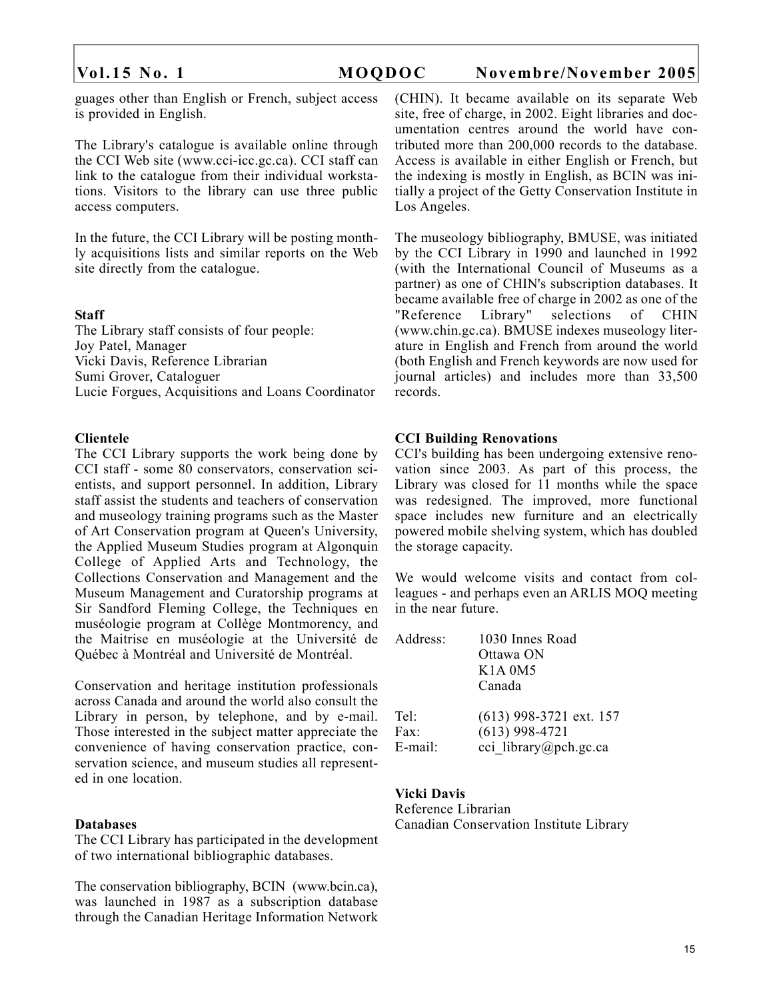guages other than English or French, subject access is provided in English.

The Library's catalogue is available online through the CCI Web site (www.cci-icc.gc.ca). CCI staff can link to the catalogue from their individual workstations. Visitors to the library can use three public access computers.

In the future, the CCI Library will be posting monthly acquisitions lists and similar reports on the Web site directly from the catalogue.

### **Staff**

The Library staff consists of four people: Joy Patel, Manager Vicki Davis, Reference Librarian Sumi Grover, Cataloguer Lucie Forgues, Acquisitions and Loans Coordinator

### **Clientele**

The CCI Library supports the work being done by CCI staff - some 80 conservators, conservation scientists, and support personnel. In addition, Library staff assist the students and teachers of conservation and museology training programs such as the Master of Art Conservation program at Queen's University, the Applied Museum Studies program at Algonquin College of Applied Arts and Technology, the Collections Conservation and Management and the Museum Management and Curatorship programs at Sir Sandford Fleming College, the Techniques en muséologie program at Collège Montmorency, and the Maitrise en muséologie at the Université de Québec à Montréal and Université de Montréal.

Conservation and heritage institution professionals across Canada and around the world also consult the Library in person, by telephone, and by e-mail. Those interested in the subject matter appreciate the convenience of having conservation practice, conservation science, and museum studies all represented in one location.

### **Databases**

The CCI Library has participated in the development of two international bibliographic databases.

The conservation bibliography, BCIN (www.bcin.ca), was launched in 1987 as a subscription database through the Canadian Heritage Information Network (CHIN). It became available on its separate Web site, free of charge, in 2002. Eight libraries and documentation centres around the world have contributed more than 200,000 records to the database. Access is available in either English or French, but the indexing is mostly in English, as BCIN was initially a project of the Getty Conservation Institute in Los Angeles.

The museology bibliography, BMUSE, was initiated by the CCI Library in 1990 and launched in 1992 (with the International Council of Museums as a partner) as one of CHIN's subscription databases. It became available free of charge in 2002 as one of the "Reference Library" selections of CHIN (www.chin.gc.ca). BMUSE indexes museology literature in English and French from around the world (both English and French keywords are now used for journal articles) and includes more than 33,500 records.

### **CCI Building Renovations**

CCI's building has been undergoing extensive renovation since 2003. As part of this process, the Library was closed for 11 months while the space was redesigned. The improved, more functional space includes new furniture and an electrically powered mobile shelving system, which has doubled the storage capacity.

We would welcome visits and contact from colleagues - and perhaps even an ARLIS MOQ meeting in the near future.

| Address: | 1030 Innes Road<br>Ottawa ON<br>K1A 0M5<br>Canada |
|----------|---------------------------------------------------|
| Tel:     | (613) 998-3721 ext. 157                           |
| Fax:     | $(613)$ 998-4721                                  |
| E-mail:  | cci library@pch.gc.ca                             |

### **Vicki Davis**

Reference Librarian Canadian Conservation Institute Library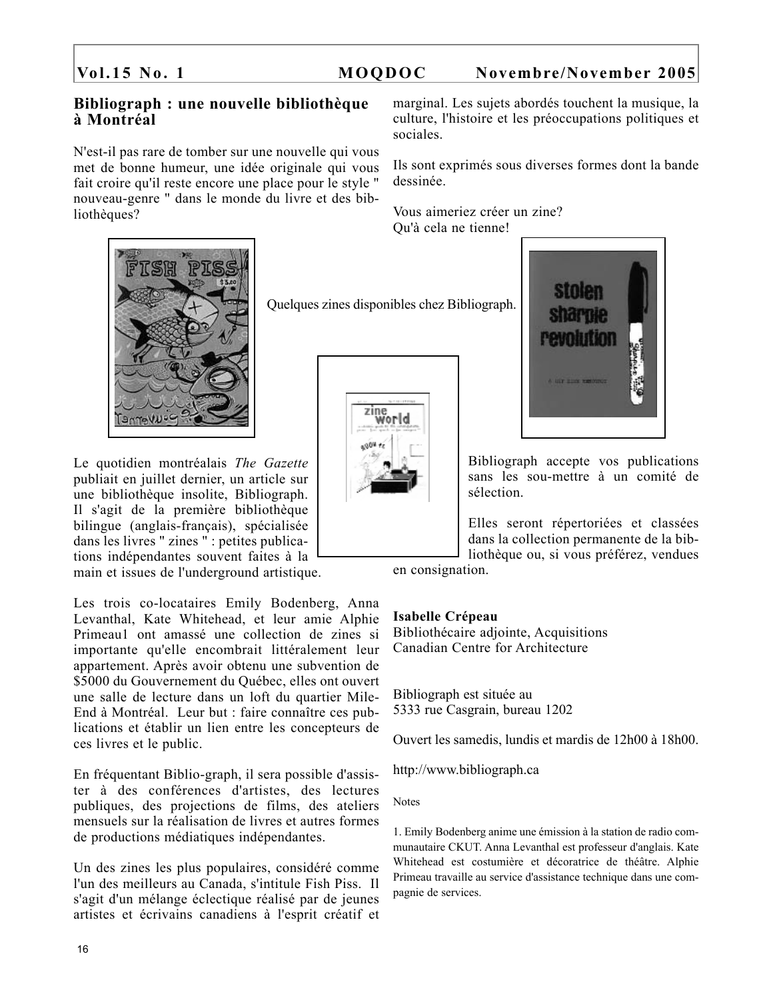# **Bibliograph : une nouvelle bibliothèque à Montréal**

N'est-il pas rare de tomber sur une nouvelle qui vous met de bonne humeur, une idée originale qui vous fait croire qu'il reste encore une place pour le style " nouveau-genre " dans le monde du livre et des bibliothèques?



Le quotidien montréalais *The Gazette* publiait en juillet dernier, un article sur une bibliothèque insolite, Bibliograph. Il s'agit de la première bibliothèque bilingue (anglais-français), spécialisée dans les livres " zines " : petites publications indépendantes souvent faites à la main et issues de l'underground artistique.

Les trois co-locataires Emily Bodenberg, Anna Levanthal, Kate Whitehead, et leur amie Alphie Primeau1 ont amassé une collection de zines si importante qu'elle encombrait littéralement leur appartement. Après avoir obtenu une subvention de \$5000 du Gouvernement du Québec, elles ont ouvert une salle de lecture dans un loft du quartier Mile-End à Montréal. Leur but : faire connaître ces publications et établir un lien entre les concepteurs de ces livres et le public.

En fréquentant Biblio-graph, il sera possible d'assister à des conférences d'artistes, des lectures publiques, des projections de films, des ateliers mensuels sur la réalisation de livres et autres formes de productions médiatiques indépendantes.

Un des zines les plus populaires, considéré comme l'un des meilleurs au Canada, s'intitule Fish Piss. Il s'agit d'un mélange éclectique réalisé par de jeunes artistes et écrivains canadiens à l'esprit créatif et

marginal. Les sujets abordés touchent la musique, la culture, l'histoire et les préoccupations politiques et sociales.

Ils sont exprimés sous diverses formes dont la bande dessinée.

Vous aimeriez créer un zine? Qu'à cela ne tienne!

Quelques zines disponibles chez Bibliograph.





Bibliograph accepte vos publications sans les sou-mettre à un comité de sélection.

Elles seront répertoriées et classées dans la collection permanente de la bibliothèque ou, si vous préférez, vendues

en consignation.

### **Isabelle Crépeau**

Bibliothécaire adjointe, Acquisitions Canadian Centre for Architecture

Bibliograph est située au 5333 rue Casgrain, bureau 1202

Ouvert les samedis, lundis et mardis de 12h00 à 18h00.

http://www.bibliograph.ca

Notes

1. Emily Bodenberg anime une émission à la station de radio communautaire CKUT. Anna Levanthal est professeur d'anglais. Kate Whitehead est costumière et décoratrice de théâtre. Alphie Primeau travaille au service d'assistance technique dans une compagnie de services.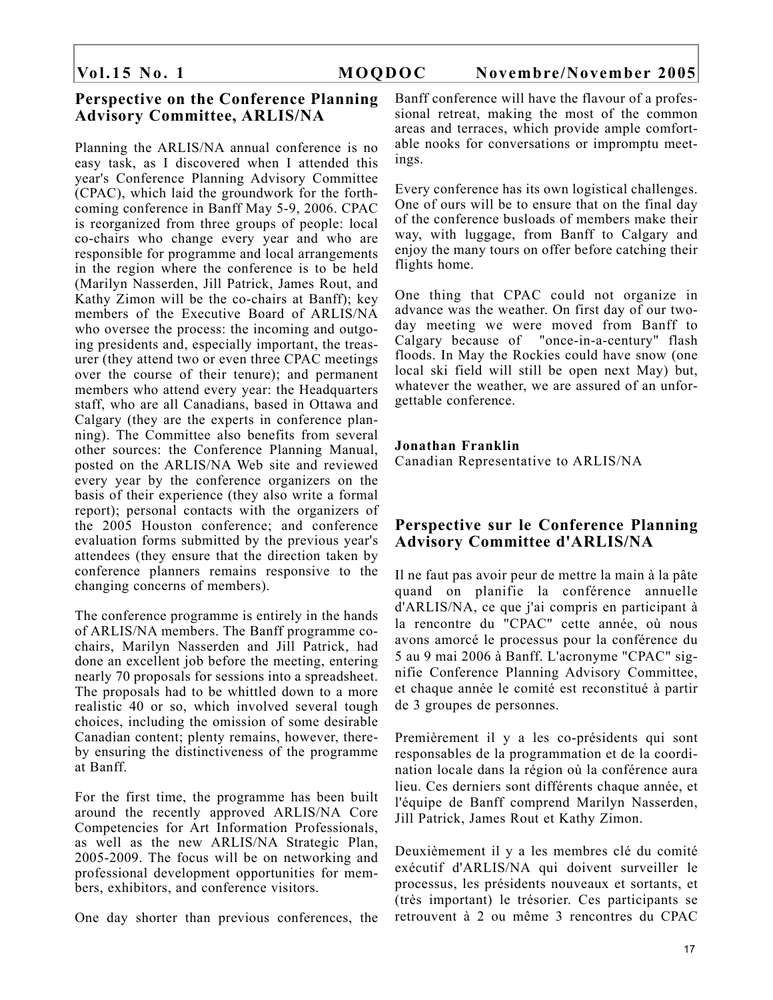# **Perspective on the Conference Planning Advisory Committee, ARLIS/NA**

Planning the ARLIS/NA annual conference is no easy task, as I discovered when I attended this year's Conference Planning Advisory Committee (CPAC), which laid the groundwork for the forthcoming conference in Banff May 5-9, 2006. CPAC is reorganized from three groups of people: local co-chairs who change every year and who are responsible for programme and local arrangements in the region where the conference is to be held (Marilyn Nasserden, Jill Patrick, James Rout, and Kathy Zimon will be the co-chairs at Banff); key members of the Executive Board of ARLIS/NA who oversee the process: the incoming and outgoing presidents and, especially important, the treasurer (they attend two or even three CPAC meetings over the course of their tenure); and permanent members who attend every year: the Headquarters staff, who are all Canadians, based in Ottawa and Calgary (they are the experts in conference planning). The Committee also benefits from several other sources: the Conference Planning Manual, posted on the ARLIS/NA Web site and reviewed every year by the conference organizers on the basis of their experience (they also write a formal report); personal contacts with the organizers of the 2005 Houston conference; and conference evaluation forms submitted by the previous year's attendees (they ensure that the direction taken by conference planners remains responsive to the changing concerns of members).

The conference programme is entirely in the hands of ARLIS/NA members. The Banff programme cochairs, Marilyn Nasserden and Jill Patrick, had done an excellent job before the meeting, entering nearly 70 proposals for sessions into a spreadsheet. The proposals had to be whittled down to a more realistic 40 or so, which involved several tough choices, including the omission of some desirable Canadian content; plenty remains, however, thereby ensuring the distinctiveness of the programme at Banff.

For the first time, the programme has been built around the recently approved ARLIS/NA Core Competencies for Art Information Professionals, as well as the new ARLIS/NA Strategic Plan, 2005-2009. The focus will be on networking and professional development opportunities for members, exhibitors, and conference visitors.

One day shorter than previous conferences, the

Banff conference will have the flavour of a professional retreat, making the most of the common areas and terraces, which provide ample comfortable nooks for conversations or impromptu meetings.

Every conference has its own logistical challenges. One of ours will be to ensure that on the final day of the conference busloads of members make their way, with luggage, from Banff to Calgary and enjoy the many tours on offer before catching their flights home.

One thing that CPAC could not organize in advance was the weather. On first day of our twoday meeting we were moved from Banff to Calgary because of "once-in-a-century" flash floods. In May the Rockies could have snow (one local ski field will still be open next May) but, whatever the weather, we are assured of an unforgettable conference.

### **Jonathan Franklin**

Canadian Representative to ARLIS/NA

# **Perspective sur le Conference Planning Advisory Committee d'ARLIS/NA**

Il ne faut pas avoir peur de mettre la main à la pâte quand on planifie la conférence annuelle d'ARLIS/NA, ce que j'ai compris en participant à la rencontre du "CPAC" cette année, où nous avons amorcé le processus pour la conférence du 5 au 9 mai 2006 à Banff. L'acronyme "CPAC" signifie Conference Planning Advisory Committee, et chaque année le comité est reconstitué à partir de 3 groupes de personnes.

Premièrement il y a les co-présidents qui sont responsables de la programmation et de la coordination locale dans la région où la conférence aura lieu. Ces derniers sont différents chaque année, et l'équipe de Banff comprend Marilyn Nasserden, Jill Patrick, James Rout et Kathy Zimon.

Deuxièmement il y a les membres clé du comité exécutif d'ARLIS/NA qui doivent surveiller le processus, les présidents nouveaux et sortants, et (très important) le trésorier. Ces participants se retrouvent à 2 ou même 3 rencontres du CPAC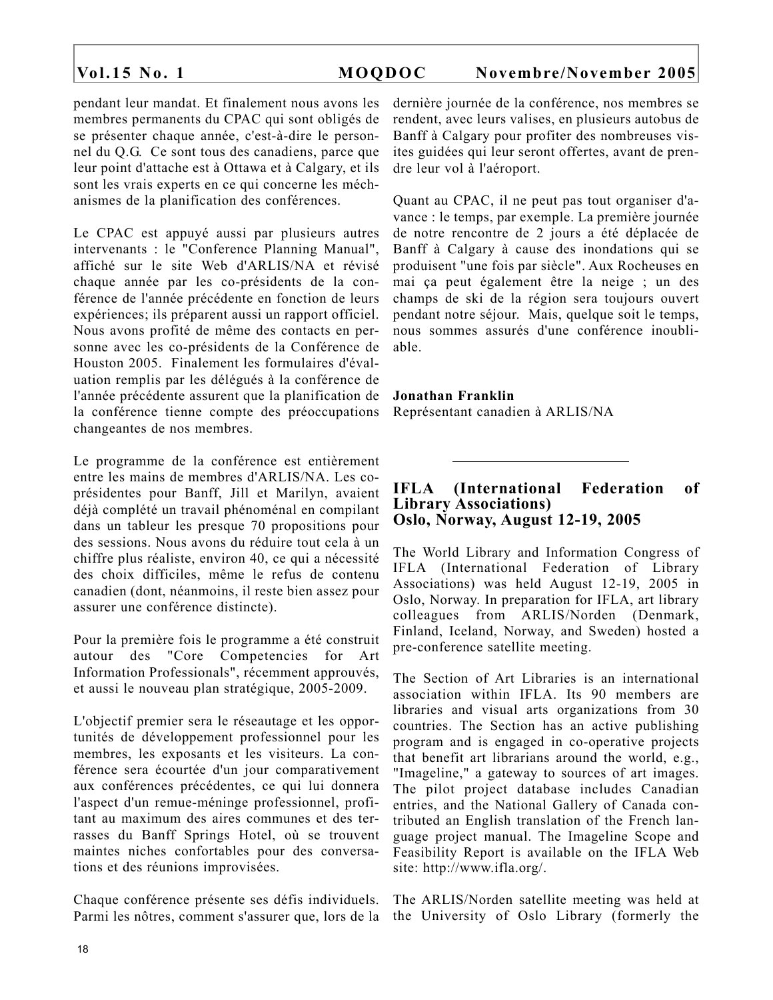pendant leur mandat. Et finalement nous avons les membres permanents du CPAC qui sont obligés de se présenter chaque année, c'est-à-dire le personnel du Q.G. Ce sont tous des canadiens, parce que leur point d'attache est à Ottawa et à Calgary, et ils sont les vrais experts en ce qui concerne les méchanismes de la planification des conférences.

Le CPAC est appuyé aussi par plusieurs autres intervenants : le "Conference Planning Manual", affiché sur le site Web d'ARLIS/NA et révisé chaque année par les co-présidents de la conférence de l'année précédente en fonction de leurs expériences; ils préparent aussi un rapport officiel. Nous avons profité de même des contacts en personne avec les co-présidents de la Conférence de Houston 2005. Finalement les formulaires d'évaluation remplis par les délégués à la conférence de l'année précédente assurent que la planification de la conférence tienne compte des préoccupations changeantes de nos membres.

Le programme de la conférence est entièrement entre les mains de membres d'ARLIS/NA. Les coprésidentes pour Banff, Jill et Marilyn, avaient déjà complété un travail phénoménal en compilant dans un tableur les presque 70 propositions pour des sessions. Nous avons du réduire tout cela à un chiffre plus réaliste, environ 40, ce qui a nécessité des choix difficiles, même le refus de contenu canadien (dont, néanmoins, il reste bien assez pour assurer une conférence distincte).

Pour la première fois le programme a été construit autour des "Core Competencies for Art Information Professionals", récemment approuvés, et aussi le nouveau plan stratégique, 2005-2009.

L'objectif premier sera le réseautage et les opportunités de développement professionnel pour les membres, les exposants et les visiteurs. La conférence sera écourtée d'un jour comparativement aux conférences précédentes, ce qui lui donnera l'aspect d'un remue-méninge professionnel, profitant au maximum des aires communes et des terrasses du Banff Springs Hotel, où se trouvent maintes niches confortables pour des conversations et des réunions improvisées.

Chaque conférence présente ses défis individuels. Parmi les nôtres, comment s'assurer que, lors de la dernière journée de la conférence, nos membres se rendent, avec leurs valises, en plusieurs autobus de Banff à Calgary pour profiter des nombreuses visites guidées qui leur seront offertes, avant de prendre leur vol à l'aéroport.

Quant au CPAC, il ne peut pas tout organiser d'avance : le temps, par exemple. La première journée de notre rencontre de 2 jours a été déplacée de Banff à Calgary à cause des inondations qui se produisent "une fois par siècle". Aux Rocheuses en mai ça peut également être la neige ; un des champs de ski de la région sera toujours ouvert pendant notre séjour. Mais, quelque soit le temps, nous sommes assurés d'une conférence inoubliable.

**Jonathan Franklin** Représentant canadien à ARLIS/NA

# **IFLA (International Federation of Library Associations) Oslo, Norway, August 12-19, 2005**

The World Library and Information Congress of IFLA (International Federation of Library Associations) was held August 12-19, 2005 in Oslo, Norway. In preparation for IFLA, art library colleagues from ARLIS/Norden (Denmark, Finland, Iceland, Norway, and Sweden) hosted a pre-conference satellite meeting.

The Section of Art Libraries is an international association within IFLA. Its 90 members are libraries and visual arts organizations from 30 countries. The Section has an active publishing program and is engaged in co-operative projects that benefit art librarians around the world, e.g., "Imageline," a gateway to sources of art images. The pilot project database includes Canadian entries, and the National Gallery of Canada contributed an English translation of the French language project manual. The Imageline Scope and Feasibility Report is available on the IFLA Web site: http://www.ifla.org/.

The ARLIS/Norden satellite meeting was held at the University of Oslo Library (formerly the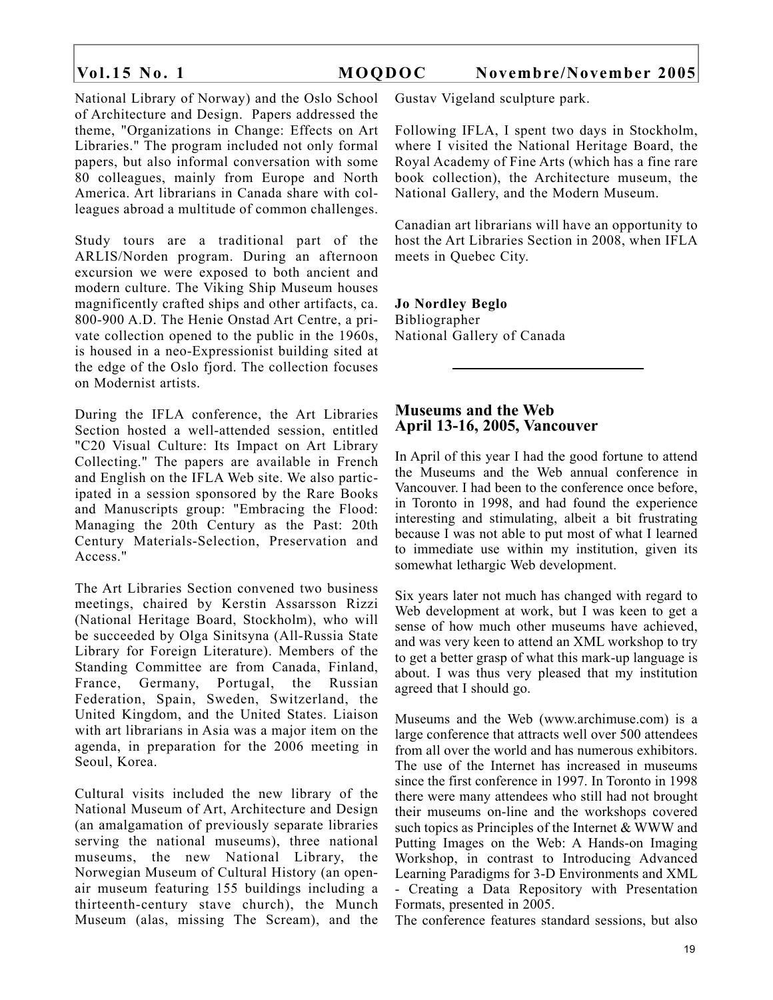National Library of Norway) and the Oslo School of Architecture and Design. Papers addressed the theme, "Organizations in Change: Effects on Art Libraries." The program included not only formal papers, but also informal conversation with some 80 colleagues, mainly from Europe and North America. Art librarians in Canada share with colleagues abroad a multitude of common challenges.

Study tours are a traditional part of the ARLIS/Norden program. During an afternoon excursion we were exposed to both ancient and modern culture. The Viking Ship Museum houses magnificently crafted ships and other artifacts, ca. 800-900 A.D. The Henie Onstad Art Centre, a private collection opened to the public in the 1960s, is housed in a neo-Expressionist building sited at the edge of the Oslo fjord. The collection focuses on Modernist artists.

During the IFLA conference, the Art Libraries Section hosted a well-attended session, entitled "C20 Visual Culture: Its Impact on Art Library Collecting." The papers are available in French and English on the IFLA Web site. We also participated in a session sponsored by the Rare Books and Manuscripts group: "Embracing the Flood: Managing the 20th Century as the Past: 20th Century Materials-Selection, Preservation and Access."

The Art Libraries Section convened two business meetings, chaired by Kerstin Assarsson Rizzi (National Heritage Board, Stockholm), who will be succeeded by Olga Sinitsyna (All-Russia State Library for Foreign Literature). Members of the Standing Committee are from Canada, Finland, France, Germany, Portugal, the Russian Federation, Spain, Sweden, Switzerland, the United Kingdom, and the United States. Liaison with art librarians in Asia was a major item on the agenda, in preparation for the 2006 meeting in Seoul, Korea.

Cultural visits included the new library of the National Museum of Art, Architecture and Design (an amalgamation of previously separate libraries serving the national museums), three national museums, the new National Library, the Norwegian Museum of Cultural History (an openair museum featuring 155 buildings including a thirteenth-century stave church), the Munch Museum (alas, missing The Scream), and the Gustav Vigeland sculpture park.

Following IFLA, I spent two days in Stockholm, where I visited the National Heritage Board, the Royal Academy of Fine Arts (which has a fine rare book collection), the Architecture museum, the National Gallery, and the Modern Museum.

Canadian art librarians will have an opportunity to host the Art Libraries Section in 2008, when IFLA meets in Quebec City.

**Jo Nordley Beglo** Bibliographer National Gallery of Canada

### **Museums and the Web April 13-16, 2005, Vancouver**

In April of this year I had the good fortune to attend the Museums and the Web annual conference in Vancouver. I had been to the conference once before, in Toronto in 1998, and had found the experience interesting and stimulating, albeit a bit frustrating because I was not able to put most of what I learned to immediate use within my institution, given its somewhat lethargic Web development.

Six years later not much has changed with regard to Web development at work, but I was keen to get a sense of how much other museums have achieved, and was very keen to attend an XML workshop to try to get a better grasp of what this mark-up language is about. I was thus very pleased that my institution agreed that I should go.

Museums and the Web (www.archimuse.com) is a large conference that attracts well over 500 attendees from all over the world and has numerous exhibitors. The use of the Internet has increased in museums since the first conference in 1997. In Toronto in 1998 there were many attendees who still had not brought their museums on-line and the workshops covered such topics as Principles of the Internet & WWW and Putting Images on the Web: A Hands-on Imaging Workshop, in contrast to Introducing Advanced Learning Paradigms for 3-D Environments and XML - Creating a Data Repository with Presentation Formats, presented in 2005.

The conference features standard sessions, but also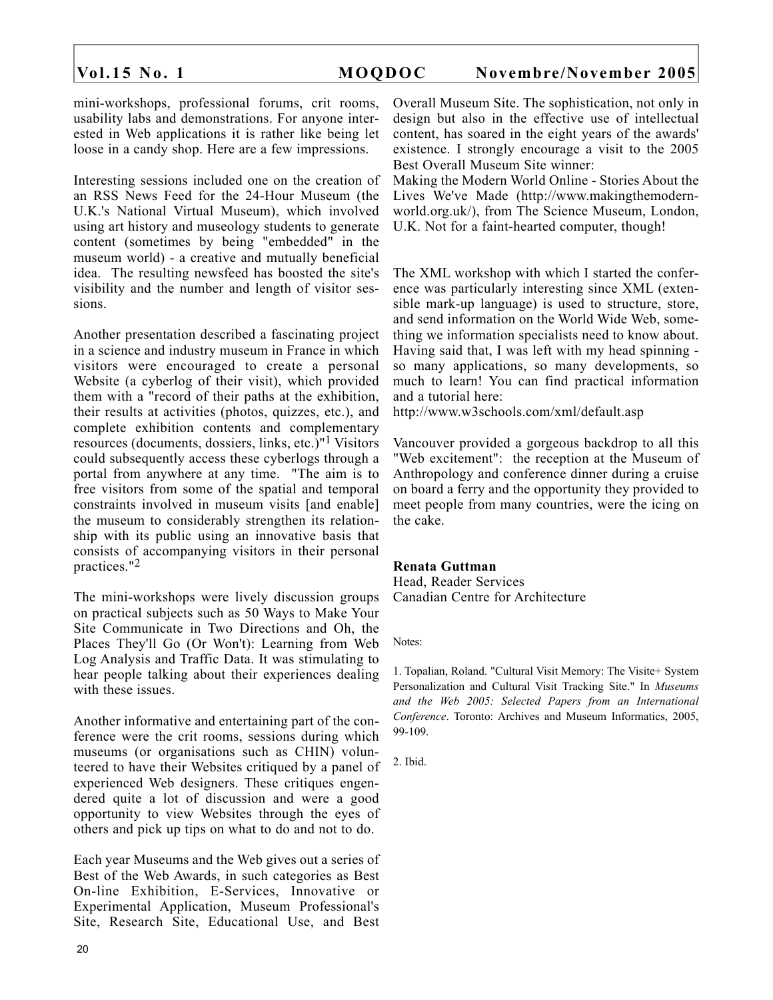mini-workshops, professional forums, crit rooms, usability labs and demonstrations. For anyone interested in Web applications it is rather like being let loose in a candy shop. Here are a few impressions.

Interesting sessions included one on the creation of an RSS News Feed for the 24-Hour Museum (the U.K.'s National Virtual Museum), which involved using art history and museology students to generate content (sometimes by being "embedded" in the museum world) - a creative and mutually beneficial idea. The resulting newsfeed has boosted the site's visibility and the number and length of visitor sessions.

Another presentation described a fascinating project in a science and industry museum in France in which visitors were encouraged to create a personal Website (a cyberlog of their visit), which provided them with a "record of their paths at the exhibition, their results at activities (photos, quizzes, etc.), and complete exhibition contents and complementary resources (documents, dossiers, links, etc.)"1 Visitors could subsequently access these cyberlogs through a portal from anywhere at any time. "The aim is to free visitors from some of the spatial and temporal constraints involved in museum visits [and enable] the museum to considerably strengthen its relationship with its public using an innovative basis that consists of accompanying visitors in their personal practices."2

The mini-workshops were lively discussion groups on practical subjects such as 50 Ways to Make Your Site Communicate in Two Directions and Oh, the Places They'll Go (Or Won't): Learning from Web Log Analysis and Traffic Data. It was stimulating to hear people talking about their experiences dealing with these issues.

Another informative and entertaining part of the conference were the crit rooms, sessions during which museums (or organisations such as CHIN) volunteered to have their Websites critiqued by a panel of experienced Web designers. These critiques engendered quite a lot of discussion and were a good opportunity to view Websites through the eyes of others and pick up tips on what to do and not to do.

Each year Museums and the Web gives out a series of Best of the Web Awards, in such categories as Best On-line Exhibition, E-Services, Innovative or Experimental Application, Museum Professional's Site, Research Site, Educational Use, and Best Overall Museum Site. The sophistication, not only in design but also in the effective use of intellectual content, has soared in the eight years of the awards' existence. I strongly encourage a visit to the 2005 Best Overall Museum Site winner:

Making the Modern World Online - Stories About the Lives We've Made (http://www.makingthemodernworld.org.uk/), from The Science Museum, London, U.K. Not for a faint-hearted computer, though!

The XML workshop with which I started the conference was particularly interesting since XML (extensible mark-up language) is used to structure, store, and send information on the World Wide Web, something we information specialists need to know about. Having said that, I was left with my head spinning so many applications, so many developments, so much to learn! You can find practical information and a tutorial here:

http://www.w3schools.com/xml/default.asp

Vancouver provided a gorgeous backdrop to all this "Web excitement": the reception at the Museum of Anthropology and conference dinner during a cruise on board a ferry and the opportunity they provided to meet people from many countries, were the icing on the cake.

### **Renata Guttman**

Head, Reader Services Canadian Centre for Architecture

Notes:

1. Topalian, Roland. "Cultural Visit Memory: The Visite+ System Personalization and Cultural Visit Tracking Site." In *Museums and the Web 2005: Selected Papers from an International Conference*. Toronto: Archives and Museum Informatics, 2005, 99-109.

2. Ibid.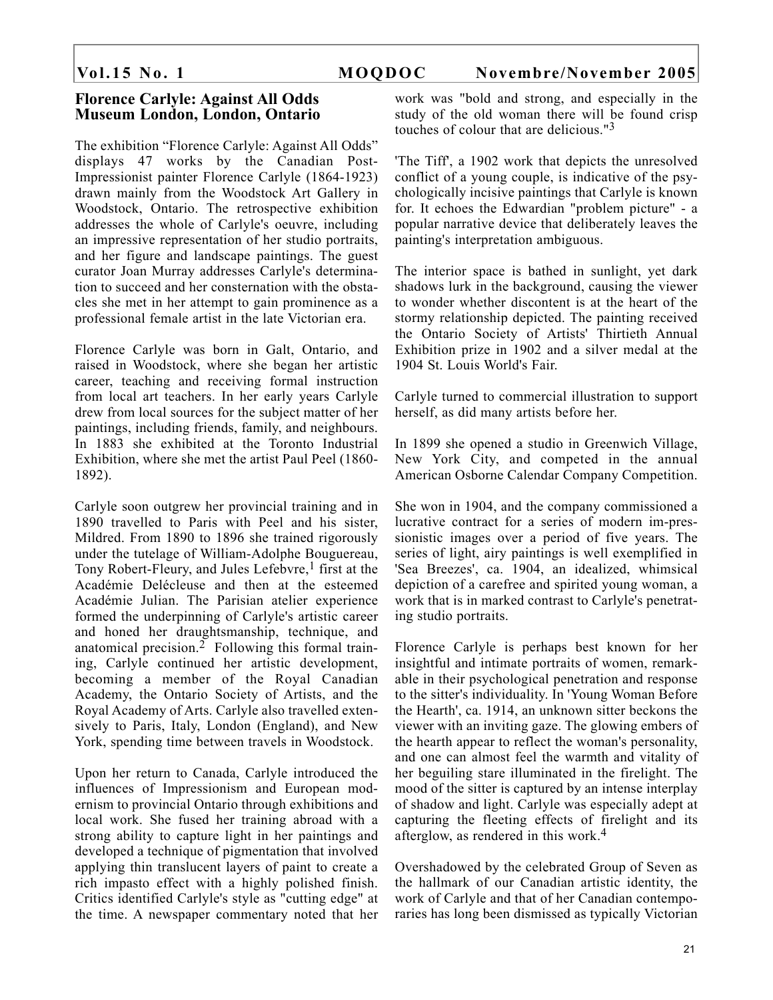### **Florence Carlyle: Against All Odds Museum London, London, Ontario**

The exhibition "Florence Carlyle: Against All Odds" displays 47 works by the Canadian Post-Impressionist painter Florence Carlyle (1864-1923) drawn mainly from the Woodstock Art Gallery in Woodstock, Ontario. The retrospective exhibition addresses the whole of Carlyle's oeuvre, including an impressive representation of her studio portraits, and her figure and landscape paintings. The guest curator Joan Murray addresses Carlyle's determination to succeed and her consternation with the obstacles she met in her attempt to gain prominence as a professional female artist in the late Victorian era.

Florence Carlyle was born in Galt, Ontario, and raised in Woodstock, where she began her artistic career, teaching and receiving formal instruction from local art teachers. In her early years Carlyle drew from local sources for the subject matter of her paintings, including friends, family, and neighbours. In 1883 she exhibited at the Toronto Industrial Exhibition, where she met the artist Paul Peel (1860- 1892).

Carlyle soon outgrew her provincial training and in 1890 travelled to Paris with Peel and his sister, Mildred. From 1890 to 1896 she trained rigorously under the tutelage of William-Adolphe Bouguereau, Tony Robert-Fleury, and Jules Lefebvre,<sup>1</sup> first at the Académie Delécleuse and then at the esteemed Académie Julian. The Parisian atelier experience formed the underpinning of Carlyle's artistic career and honed her draughtsmanship, technique, and anatomical precision.<sup>2</sup> Following this formal training, Carlyle continued her artistic development, becoming a member of the Royal Canadian Academy, the Ontario Society of Artists, and the Royal Academy of Arts. Carlyle also travelled extensively to Paris, Italy, London (England), and New York, spending time between travels in Woodstock.

Upon her return to Canada, Carlyle introduced the influences of Impressionism and European modernism to provincial Ontario through exhibitions and local work. She fused her training abroad with a strong ability to capture light in her paintings and developed a technique of pigmentation that involved applying thin translucent layers of paint to create a rich impasto effect with a highly polished finish. Critics identified Carlyle's style as "cutting edge" at the time. A newspaper commentary noted that her

work was "bold and strong, and especially in the study of the old woman there will be found crisp touches of colour that are delicious."3

'The Tiff', a 1902 work that depicts the unresolved conflict of a young couple, is indicative of the psychologically incisive paintings that Carlyle is known for. It echoes the Edwardian "problem picture" - a popular narrative device that deliberately leaves the painting's interpretation ambiguous.

The interior space is bathed in sunlight, yet dark shadows lurk in the background, causing the viewer to wonder whether discontent is at the heart of the stormy relationship depicted. The painting received the Ontario Society of Artists' Thirtieth Annual Exhibition prize in 1902 and a silver medal at the 1904 St. Louis World's Fair.

Carlyle turned to commercial illustration to support herself, as did many artists before her.

In 1899 she opened a studio in Greenwich Village, New York City, and competed in the annual American Osborne Calendar Company Competition.

She won in 1904, and the company commissioned a lucrative contract for a series of modern im-pressionistic images over a period of five years. The series of light, airy paintings is well exemplified in 'Sea Breezes', ca. 1904, an idealized, whimsical depiction of a carefree and spirited young woman, a work that is in marked contrast to Carlyle's penetrating studio portraits.

Florence Carlyle is perhaps best known for her insightful and intimate portraits of women, remarkable in their psychological penetration and response to the sitter's individuality. In 'Young Woman Before the Hearth', ca. 1914, an unknown sitter beckons the viewer with an inviting gaze. The glowing embers of the hearth appear to reflect the woman's personality, and one can almost feel the warmth and vitality of her beguiling stare illuminated in the firelight. The mood of the sitter is captured by an intense interplay of shadow and light. Carlyle was especially adept at capturing the fleeting effects of firelight and its afterglow, as rendered in this work.4

Overshadowed by the celebrated Group of Seven as the hallmark of our Canadian artistic identity, the work of Carlyle and that of her Canadian contemporaries has long been dismissed as typically Victorian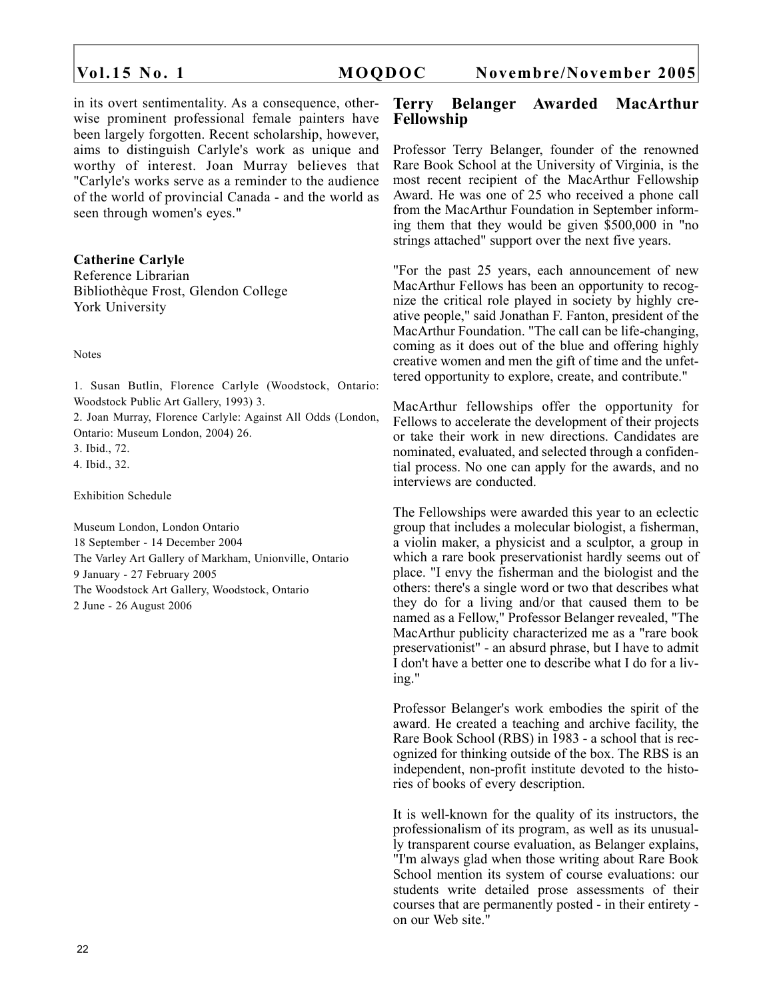in its overt sentimentality. As a consequence, otherwise prominent professional female painters have been largely forgotten. Recent scholarship, however, aims to distinguish Carlyle's work as unique and worthy of interest. Joan Murray believes that "Carlyle's works serve as a reminder to the audience of the world of provincial Canada - and the world as seen through women's eyes."

### **Catherine Carlyle**

Reference Librarian Bibliothèque Frost, Glendon College York University

Notes

1. Susan Butlin, Florence Carlyle (Woodstock, Ontario: Woodstock Public Art Gallery, 1993) 3.

2. Joan Murray, Florence Carlyle: Against All Odds (London, Ontario: Museum London, 2004) 26.

3. Ibid., 72.

4. Ibid., 32.

Exhibition Schedule

Museum London, London Ontario 18 September - 14 December 2004 The Varley Art Gallery of Markham, Unionville, Ontario 9 January - 27 February 2005 The Woodstock Art Gallery, Woodstock, Ontario 2 June - 26 August 2006

### **Terry Belanger Awarded MacArthur Fellowship**

Professor Terry Belanger, founder of the renowned Rare Book School at the University of Virginia, is the most recent recipient of the MacArthur Fellowship Award. He was one of 25 who received a phone call from the MacArthur Foundation in September informing them that they would be given \$500,000 in "no strings attached" support over the next five years.

"For the past 25 years, each announcement of new MacArthur Fellows has been an opportunity to recognize the critical role played in society by highly creative people," said Jonathan F. Fanton, president of the MacArthur Foundation. "The call can be life-changing, coming as it does out of the blue and offering highly creative women and men the gift of time and the unfettered opportunity to explore, create, and contribute."

MacArthur fellowships offer the opportunity for Fellows to accelerate the development of their projects or take their work in new directions. Candidates are nominated, evaluated, and selected through a confidential process. No one can apply for the awards, and no interviews are conducted.

The Fellowships were awarded this year to an eclectic group that includes a molecular biologist, a fisherman, a violin maker, a physicist and a sculptor, a group in which a rare book preservationist hardly seems out of place. "I envy the fisherman and the biologist and the others: there's a single word or two that describes what they do for a living and/or that caused them to be named as a Fellow," Professor Belanger revealed, "The MacArthur publicity characterized me as a "rare book preservationist" - an absurd phrase, but I have to admit I don't have a better one to describe what I do for a living."

Professor Belanger's work embodies the spirit of the award. He created a teaching and archive facility, the Rare Book School (RBS) in 1983 - a school that is recognized for thinking outside of the box. The RBS is an independent, non-profit institute devoted to the histories of books of every description.

It is well-known for the quality of its instructors, the professionalism of its program, as well as its unusually transparent course evaluation, as Belanger explains, "I'm always glad when those writing about Rare Book School mention its system of course evaluations: our students write detailed prose assessments of their courses that are permanently posted - in their entirety on our Web site."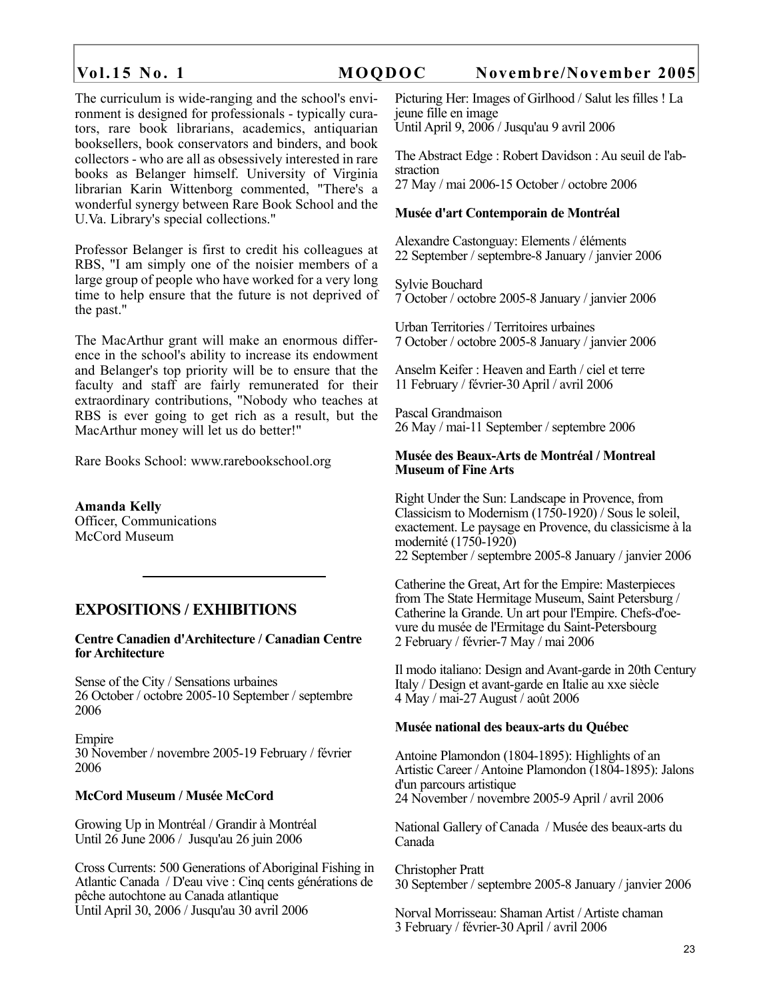The curriculum is wide-ranging and the school's environment is designed for professionals - typically curators, rare book librarians, academics, antiquarian booksellers, book conservators and binders, and book collectors - who are all as obsessively interested in rare books as Belanger himself. University of Virginia librarian Karin Wittenborg commented, "There's a wonderful synergy between Rare Book School and the U.Va. Library's special collections."

Professor Belanger is first to credit his colleagues at RBS, "I am simply one of the noisier members of a large group of people who have worked for a very long time to help ensure that the future is not deprived of the past."

The MacArthur grant will make an enormous difference in the school's ability to increase its endowment and Belanger's top priority will be to ensure that the faculty and staff are fairly remunerated for their extraordinary contributions, "Nobody who teaches at RBS is ever going to get rich as a result, but the MacArthur money will let us do better!"

Rare Books School: www.rarebookschool.org

**Amanda Kelly** Officer, Communications McCord Museum

# **EXPOSITIONS / EXHIBITIONS**

**Centre Canadien d'Architecture / Canadian Centre for Architecture**

Sense of the City / Sensations urbaines 26 October / octobre 2005-10 September / septembre 2006

Empire 30 November / novembre 2005-19 February / février 2006

### **McCord Museum / Musée McCord**

Growing Up in Montréal / Grandir à Montréal Until 26 June 2006 / Jusqu'au 26 juin 2006

Cross Currents: 500 Generations of Aboriginal Fishing in Atlantic Canada / D'eau vive : Cinq cents générations de pêche autochtone au Canada atlantique Until April 30, 2006 / Jusqu'au 30 avril 2006

Picturing Her: Images of Girlhood / Salut les filles ! La jeune fille en image Until April 9, 2006 / Jusqu'au 9 avril 2006

The Abstract Edge : Robert Davidson : Au seuil de l'abstraction 27 May / mai 2006-15 October / octobre 2006

### **Musée d'art Contemporain de Montréal**

Alexandre Castonguay: Elements / éléments 22 September / septembre-8 January / janvier 2006

Sylvie Bouchard 7 October / octobre 2005-8 January / janvier 2006

Urban Territories / Territoires urbaines 7 October / octobre 2005-8 January / janvier 2006

Anselm Keifer : Heaven and Earth / ciel et terre 11 February / février-30 April / avril 2006

Pascal Grandmaison 26 May / mai-11 September / septembre 2006

### **Musée des Beaux-Arts de Montréal / Montreal Museum of Fine Arts**

Right Under the Sun: Landscape in Provence, from Classicism to Modernism (1750-1920) / Sous le soleil, exactement. Le paysage en Provence, du classicisme à la modernité (1750-1920) 22 September / septembre 2005-8 January / janvier 2006

Catherine the Great, Art for the Empire: Masterpieces from The State Hermitage Museum, Saint Petersburg / Catherine la Grande. Un art pour l'Empire. Chefs-d'oevure du musée de l'Ermitage du Saint-Petersbourg 2 February / février-7 May / mai 2006

Il modo italiano: Design and Avant-garde in 20th Century Italy / Design et avant-garde en Italie au xxe siècle 4 May / mai-27 August / août 2006

### **Musée national des beaux-arts du Québec**

Antoine Plamondon (1804-1895): Highlights of an Artistic Career / Antoine Plamondon (1804-1895): Jalons d'un parcours artistique 24 November / novembre 2005-9 April / avril 2006

National Gallery of Canada / Musée des beaux-arts du Canada

Christopher Pratt 30 September / septembre 2005-8 January / janvier 2006

Norval Morrisseau: Shaman Artist / Artiste chaman 3 February / février-30 April / avril 2006